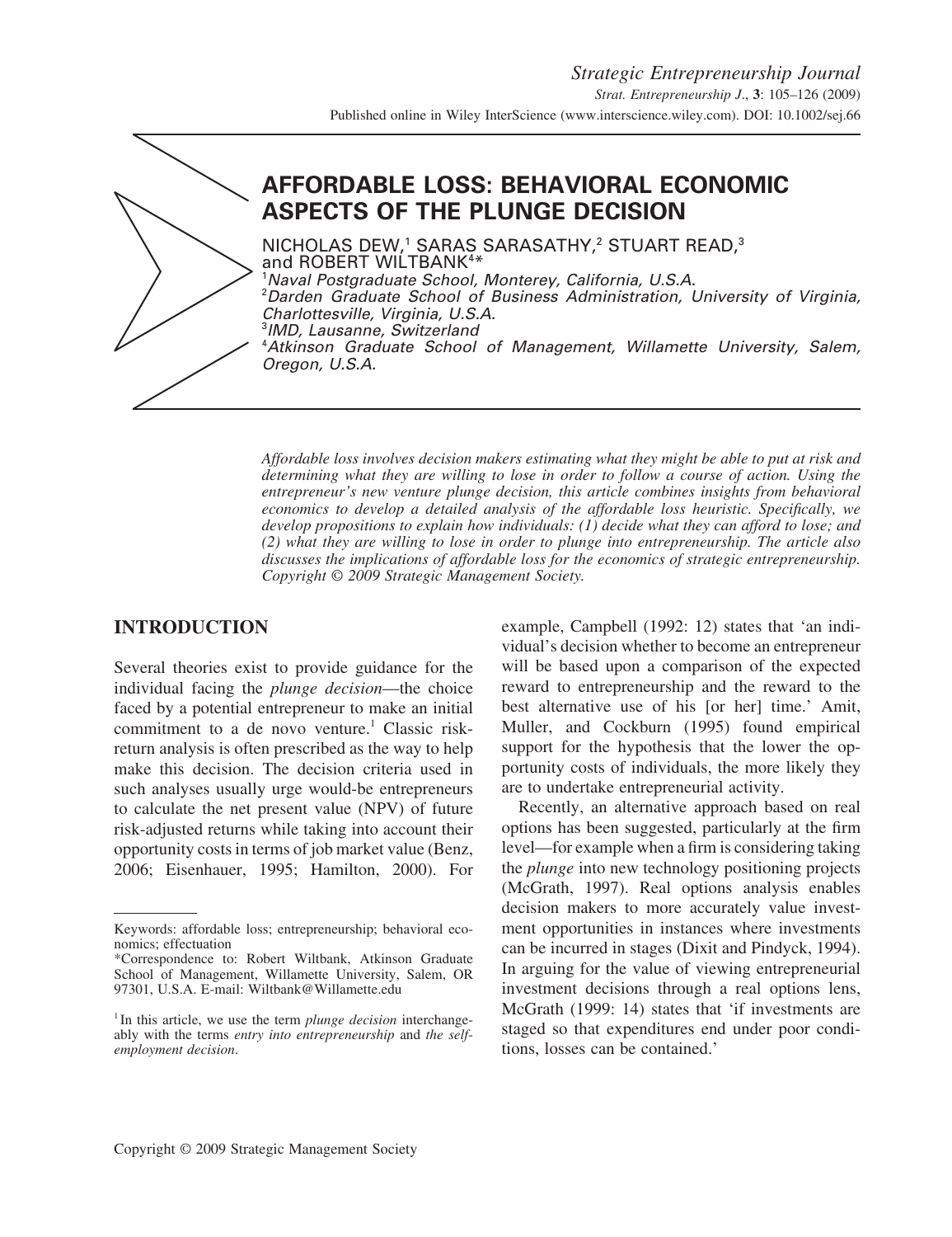

# **AFFORDABLE LOSS: BEHAVIORAL ECONOMIC ASPECTS OF THE PLUNGE DECISION**

NICHOLAS DEW,<sup>1</sup> SARAS SARASATHY,<sup>2</sup> STUART READ.<sup>3</sup> and ROBERT WILTBANK<sup>4\*</sup><br>INaval Pesteraduate School *Naval Postgraduate School, Monterey, California, U.S.A.* 2 *Darden Graduate School of Business Administration, University of Virginia, Charlottesville, Virginia, U.S.A.* 3 *IMD, Lausanne, Switzerland* 4 *Atkinson Graduate School of Management, Willamette University, Salem, Oregon, U.S.A.*

*Affordable loss involves decision makers estimating what they might be able to put at risk and determining what they are willing to lose in order to follow a course of action. Using the entrepreneur's new venture plunge decision, this article combines insights from behavioral economics to develop a detailed analysis of the affordable loss heuristic. Specifically, we develop propositions to explain how individuals: (1) decide what they can afford to lose; and (2) what they are willing to lose in order to plunge into entrepreneurship. The article also discusses the implications of affordable loss for the economics of strategic entrepreneurship. Copyright © 2009 Strategic Management Society.*

# **INTRODUCTION**

Several theories exist to provide guidance for the individual facing the *plunge decision*—the choice faced by a potential entrepreneur to make an initial commitment to a de novo venture.<sup>1</sup> Classic riskreturn analysis is often prescribed as the way to help make this decision. The decision criteria used in such analyses usually urge would-be entrepreneurs to calculate the net present value (NPV) of future risk-adjusted returns while taking into account their opportunity costs in terms of job market value (Benz, 2006; Eisenhauer, 1995; Hamilton, 2000). For example, Campbell (1992: 12) states that 'an individual's decision whether to become an entrepreneur will be based upon a comparison of the expected reward to entrepreneurship and the reward to the best alternative use of his [or her] time.' Amit, Muller, and Cockburn (1995) found empirical support for the hypothesis that the lower the opportunity costs of individuals, the more likely they are to undertake entrepreneurial activity.

Recently, an alternative approach based on real options has been suggested, particularly at the firm level—for example when a firm is considering taking the *plunge* into new technology positioning projects (McGrath, 1997). Real options analysis enables decision makers to more accurately value investment opportunities in instances where investments can be incurred in stages (Dixit and Pindyck, 1994). In arguing for the value of viewing entrepreneurial investment decisions through a real options lens, McGrath (1999: 14) states that 'if investments are staged so that expenditures end under poor conditions, losses can be contained.'

Keywords: affordable loss; entrepreneurship; behavioral economics; effectuation

<sup>\*</sup>Correspondence to: Robert Wiltbank, Atkinson Graduate School of Management, Willamette University, Salem, OR 97301, U.S.A. E-mail: Wiltbank@Willamette.edu

<sup>&</sup>lt;sup>1</sup> In this article, we use the term *plunge decision* interchangeably with the terms *entry into entrepreneurship* and *the selfemployment decision*.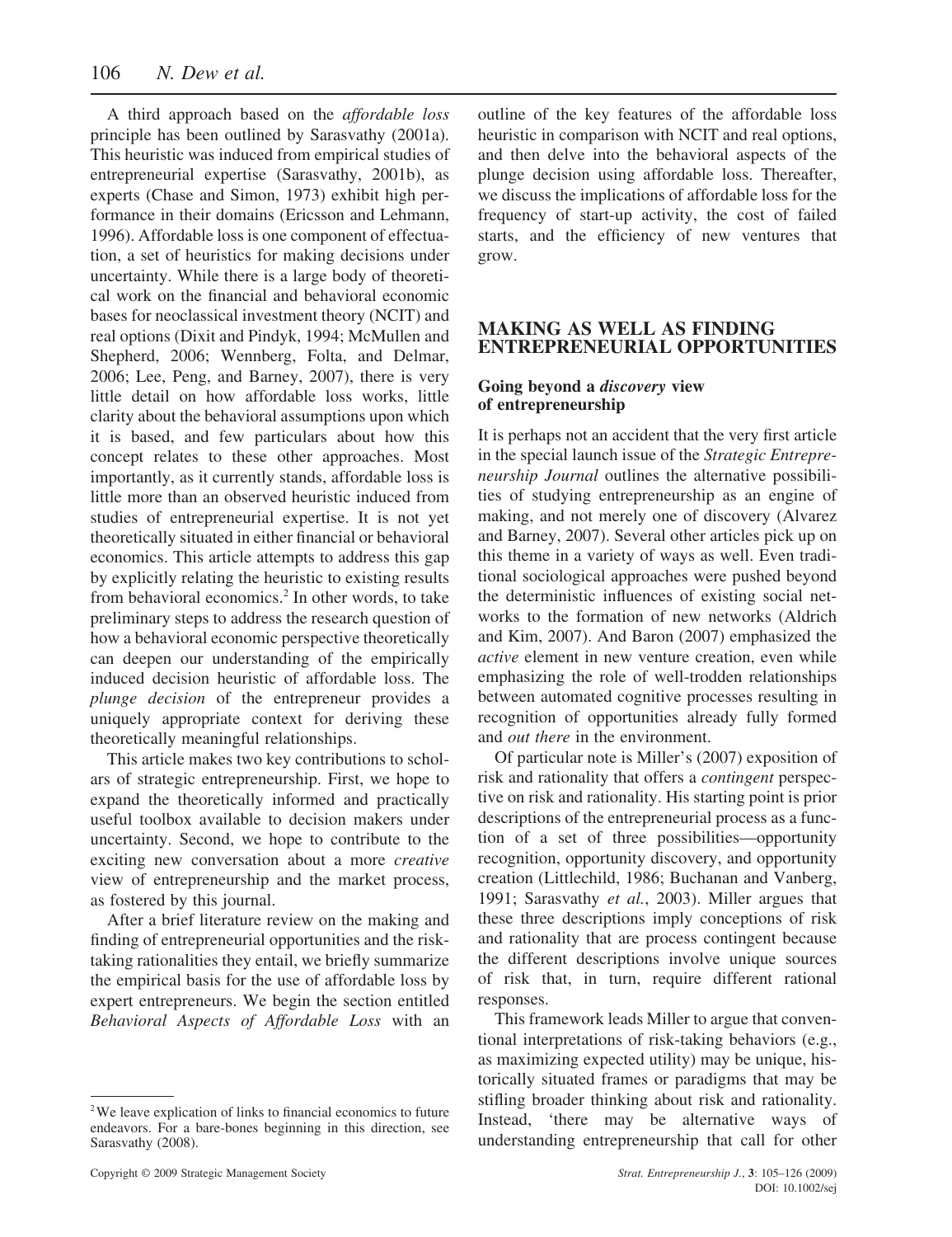A third approach based on the *affordable loss* principle has been outlined by Sarasvathy (2001a). This heuristic was induced from empirical studies of entrepreneurial expertise (Sarasvathy, 2001b), as experts (Chase and Simon, 1973) exhibit high performance in their domains (Ericsson and Lehmann, 1996). Affordable loss is one component of effectuation, a set of heuristics for making decisions under uncertainty. While there is a large body of theoretical work on the financial and behavioral economic bases for neoclassical investment theory (NCIT) and real options (Dixit and Pindyk, 1994; McMullen and Shepherd, 2006; Wennberg, Folta, and Delmar, 2006; Lee, Peng, and Barney, 2007), there is very little detail on how affordable loss works, little clarity about the behavioral assumptions upon which it is based, and few particulars about how this concept relates to these other approaches. Most importantly, as it currently stands, affordable loss is little more than an observed heuristic induced from studies of entrepreneurial expertise. It is not yet theoretically situated in either financial or behavioral economics. This article attempts to address this gap by explicitly relating the heuristic to existing results from behavioral economics.<sup>2</sup> In other words, to take preliminary steps to address the research question of how a behavioral economic perspective theoretically can deepen our understanding of the empirically induced decision heuristic of affordable loss. The *plunge decision* of the entrepreneur provides a uniquely appropriate context for deriving these theoretically meaningful relationships.

This article makes two key contributions to scholars of strategic entrepreneurship. First, we hope to expand the theoretically informed and practically useful toolbox available to decision makers under uncertainty. Second, we hope to contribute to the exciting new conversation about a more *creative* view of entrepreneurship and the market process, as fostered by this journal.

After a brief literature review on the making and finding of entrepreneurial opportunities and the risktaking rationalities they entail, we briefly summarize the empirical basis for the use of affordable loss by expert entrepreneurs. We begin the section entitled *Behavioral Aspects of Affordable Loss* with an

outline of the key features of the affordable loss heuristic in comparison with NCIT and real options, and then delve into the behavioral aspects of the plunge decision using affordable loss. Thereafter, we discuss the implications of affordable loss for the frequency of start-up activity, the cost of failed starts, and the efficiency of new ventures that grow.

# **MAKING AS WELL AS FINDING ENTREPRENEURIAL OPPORTUNITIES**

#### **Going beyond a** *discovery* **view of entrepreneurship**

It is perhaps not an accident that the very first article in the special launch issue of the *Strategic Entrepreneurship Journal* outlines the alternative possibilities of studying entrepreneurship as an engine of making, and not merely one of discovery (Alvarez and Barney, 2007). Several other articles pick up on this theme in a variety of ways as well. Even traditional sociological approaches were pushed beyond the deterministic influences of existing social networks to the formation of new networks (Aldrich and Kim, 2007). And Baron (2007) emphasized the *active* element in new venture creation, even while emphasizing the role of well-trodden relationships between automated cognitive processes resulting in recognition of opportunities already fully formed and *out there* in the environment.

Of particular note is Miller's (2007) exposition of risk and rationality that offers a *contingent* perspective on risk and rationality. His starting point is prior descriptions of the entrepreneurial process as a function of a set of three possibilities—opportunity recognition, opportunity discovery, and opportunity creation (Littlechild, 1986; Buchanan and Vanberg, 1991; Sarasvathy *et al.*, 2003). Miller argues that these three descriptions imply conceptions of risk and rationality that are process contingent because the different descriptions involve unique sources of risk that, in turn, require different rational responses.

This framework leads Miller to argue that conventional interpretations of risk-taking behaviors (e.g., as maximizing expected utility) may be unique, historically situated frames or paradigms that may be stifling broader thinking about risk and rationality. Instead, 'there may be alternative ways of understanding entrepreneurship that call for other

<sup>2</sup>We leave explication of links to financial economics to future endeavors. For a bare-bones beginning in this direction, see Sarasvathy (2008).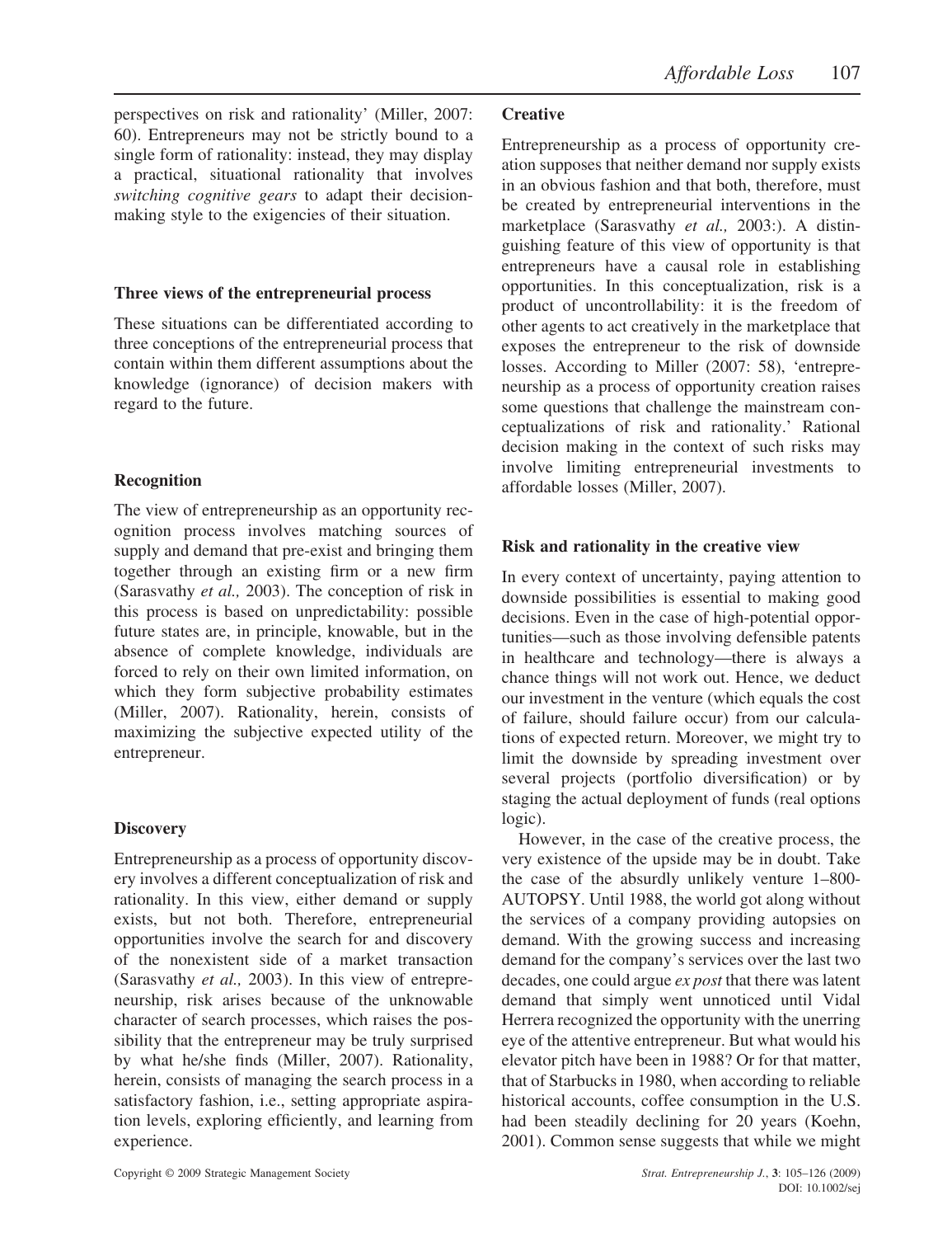perspectives on risk and rationality' (Miller, 2007: 60). Entrepreneurs may not be strictly bound to a single form of rationality: instead, they may display a practical, situational rationality that involves *switching cognitive gears* to adapt their decisionmaking style to the exigencies of their situation.

#### **Three views of the entrepreneurial process**

These situations can be differentiated according to three conceptions of the entrepreneurial process that contain within them different assumptions about the knowledge (ignorance) of decision makers with regard to the future.

### **Recognition**

The view of entrepreneurship as an opportunity recognition process involves matching sources of supply and demand that pre-exist and bringing them together through an existing firm or a new firm (Sarasvathy *et al.,* 2003). The conception of risk in this process is based on unpredictability: possible future states are, in principle, knowable, but in the absence of complete knowledge, individuals are forced to rely on their own limited information, on which they form subjective probability estimates (Miller, 2007). Rationality, herein, consists of maximizing the subjective expected utility of the entrepreneur.

# **Discovery**

Entrepreneurship as a process of opportunity discovery involves a different conceptualization of risk and rationality. In this view, either demand or supply exists, but not both. Therefore, entrepreneurial opportunities involve the search for and discovery of the nonexistent side of a market transaction (Sarasvathy *et al.,* 2003). In this view of entrepreneurship, risk arises because of the unknowable character of search processes, which raises the possibility that the entrepreneur may be truly surprised by what he/she finds (Miller, 2007). Rationality, herein, consists of managing the search process in a satisfactory fashion, i.e., setting appropriate aspiration levels, exploring efficiently, and learning from experience.

# **Creative**

Entrepreneurship as a process of opportunity creation supposes that neither demand nor supply exists in an obvious fashion and that both, therefore, must be created by entrepreneurial interventions in the marketplace (Sarasvathy *et al.,* 2003:). A distinguishing feature of this view of opportunity is that entrepreneurs have a causal role in establishing opportunities. In this conceptualization, risk is a product of uncontrollability: it is the freedom of other agents to act creatively in the marketplace that exposes the entrepreneur to the risk of downside losses. According to Miller (2007: 58), 'entrepreneurship as a process of opportunity creation raises some questions that challenge the mainstream conceptualizations of risk and rationality.' Rational decision making in the context of such risks may involve limiting entrepreneurial investments to affordable losses (Miller, 2007).

# **Risk and rationality in the creative view**

In every context of uncertainty, paying attention to downside possibilities is essential to making good decisions. Even in the case of high-potential opportunities—such as those involving defensible patents in healthcare and technology—there is always a chance things will not work out. Hence, we deduct our investment in the venture (which equals the cost of failure, should failure occur) from our calculations of expected return. Moreover, we might try to limit the downside by spreading investment over several projects (portfolio diversification) or by staging the actual deployment of funds (real options logic).

However, in the case of the creative process, the very existence of the upside may be in doubt. Take the case of the absurdly unlikely venture 1–800- AUTOPSY. Until 1988, the world got along without the services of a company providing autopsies on demand. With the growing success and increasing demand for the company's services over the last two decades, one could argue *ex post* that there was latent demand that simply went unnoticed until Vidal Herrera recognized the opportunity with the unerring eye of the attentive entrepreneur. But what would his elevator pitch have been in 1988? Or for that matter, that of Starbucks in 1980, when according to reliable historical accounts, coffee consumption in the U.S. had been steadily declining for 20 years (Koehn, 2001). Common sense suggests that while we might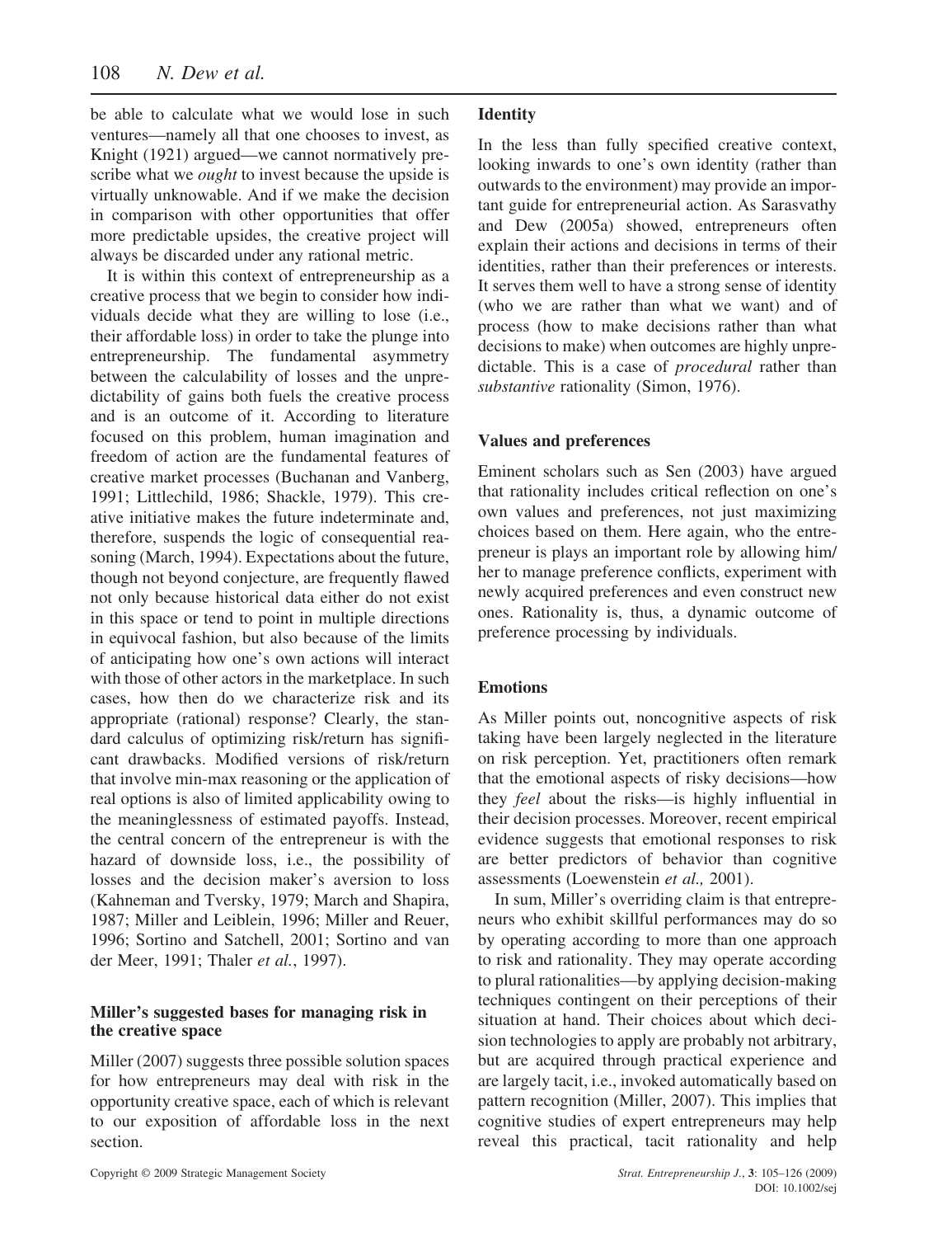be able to calculate what we would lose in such ventures—namely all that one chooses to invest, as Knight (1921) argued—we cannot normatively prescribe what we *ought* to invest because the upside is virtually unknowable. And if we make the decision in comparison with other opportunities that offer more predictable upsides, the creative project will always be discarded under any rational metric.

It is within this context of entrepreneurship as a creative process that we begin to consider how individuals decide what they are willing to lose (i.e., their affordable loss) in order to take the plunge into entrepreneurship. The fundamental asymmetry between the calculability of losses and the unpredictability of gains both fuels the creative process and is an outcome of it. According to literature focused on this problem, human imagination and freedom of action are the fundamental features of creative market processes (Buchanan and Vanberg, 1991; Littlechild, 1986; Shackle, 1979). This creative initiative makes the future indeterminate and, therefore, suspends the logic of consequential reasoning (March, 1994). Expectations about the future, though not beyond conjecture, are frequently flawed not only because historical data either do not exist in this space or tend to point in multiple directions in equivocal fashion, but also because of the limits of anticipating how one's own actions will interact with those of other actors in the marketplace. In such cases, how then do we characterize risk and its appropriate (rational) response? Clearly, the standard calculus of optimizing risk/return has significant drawbacks. Modified versions of risk/return that involve min-max reasoning or the application of real options is also of limited applicability owing to the meaninglessness of estimated payoffs. Instead, the central concern of the entrepreneur is with the hazard of downside loss, i.e., the possibility of losses and the decision maker's aversion to loss (Kahneman and Tversky, 1979; March and Shapira, 1987; Miller and Leiblein, 1996; Miller and Reuer, 1996; Sortino and Satchell, 2001; Sortino and van der Meer, 1991; Thaler *et al.*, 1997).

#### **Miller's suggested bases for managing risk in the creative space**

Miller (2007) suggests three possible solution spaces for how entrepreneurs may deal with risk in the opportunity creative space, each of which is relevant to our exposition of affordable loss in the next section.

#### **Identity**

In the less than fully specified creative context, looking inwards to one's own identity (rather than outwards to the environment) may provide an important guide for entrepreneurial action. As Sarasvathy and Dew (2005a) showed, entrepreneurs often explain their actions and decisions in terms of their identities, rather than their preferences or interests. It serves them well to have a strong sense of identity (who we are rather than what we want) and of process (how to make decisions rather than what decisions to make) when outcomes are highly unpredictable. This is a case of *procedural* rather than *substantive* rationality (Simon, 1976).

#### **Values and preferences**

Eminent scholars such as Sen (2003) have argued that rationality includes critical reflection on one's own values and preferences, not just maximizing choices based on them. Here again, who the entrepreneur is plays an important role by allowing him/ her to manage preference conflicts, experiment with newly acquired preferences and even construct new ones. Rationality is, thus, a dynamic outcome of preference processing by individuals.

#### **Emotions**

As Miller points out, noncognitive aspects of risk taking have been largely neglected in the literature on risk perception. Yet, practitioners often remark that the emotional aspects of risky decisions—how they *feel* about the risks—is highly influential in their decision processes. Moreover, recent empirical evidence suggests that emotional responses to risk are better predictors of behavior than cognitive assessments (Loewenstein *et al.,* 2001).

In sum, Miller's overriding claim is that entrepreneurs who exhibit skillful performances may do so by operating according to more than one approach to risk and rationality. They may operate according to plural rationalities—by applying decision-making techniques contingent on their perceptions of their situation at hand. Their choices about which decision technologies to apply are probably not arbitrary, but are acquired through practical experience and are largely tacit, i.e., invoked automatically based on pattern recognition (Miller, 2007). This implies that cognitive studies of expert entrepreneurs may help reveal this practical, tacit rationality and help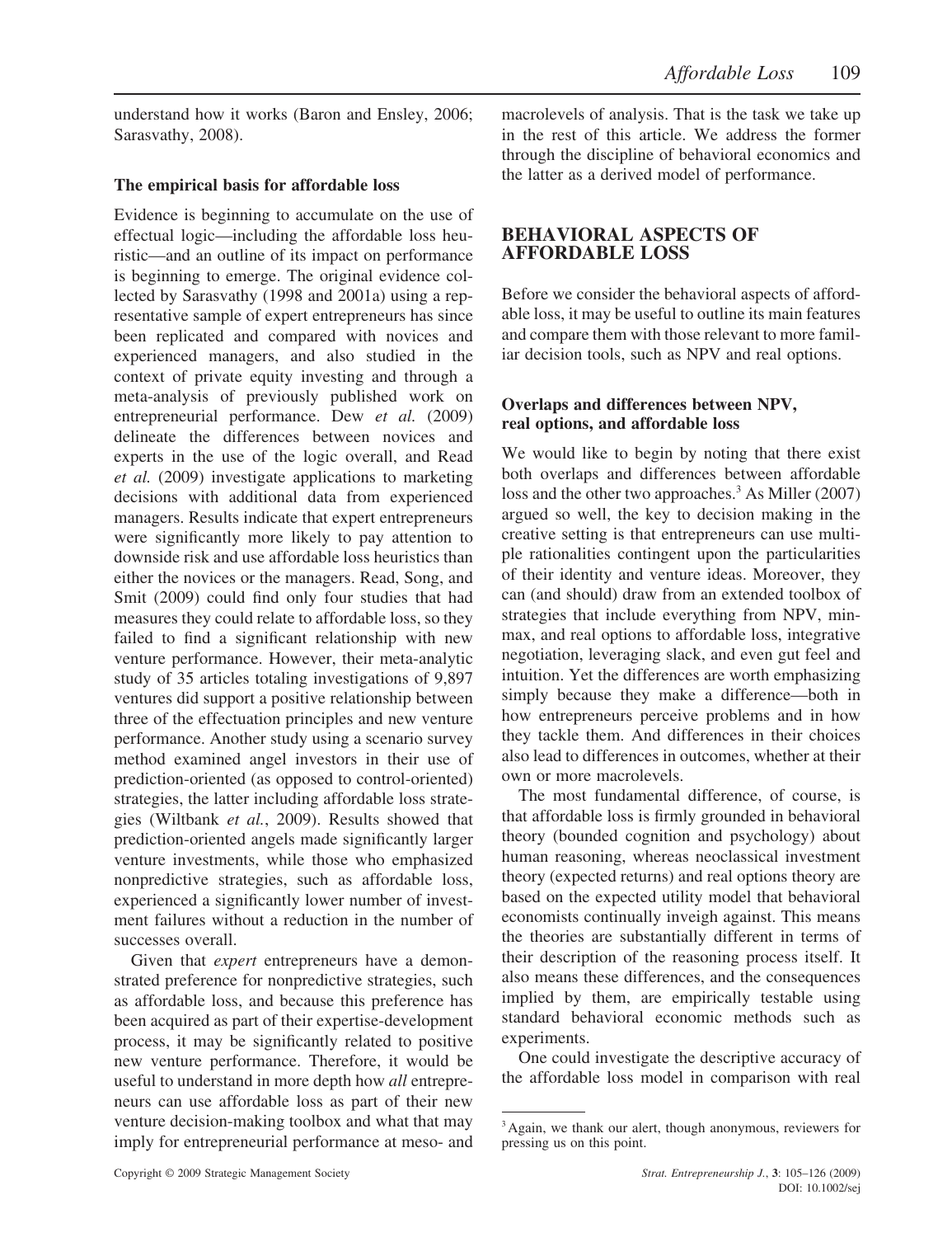understand how it works (Baron and Ensley, 2006; Sarasvathy, 2008).

#### **The empirical basis for affordable loss**

Evidence is beginning to accumulate on the use of effectual logic—including the affordable loss heuristic—and an outline of its impact on performance is beginning to emerge. The original evidence collected by Sarasvathy (1998 and 2001a) using a representative sample of expert entrepreneurs has since been replicated and compared with novices and experienced managers, and also studied in the context of private equity investing and through a meta-analysis of previously published work on entrepreneurial performance. Dew *et al.* (2009) delineate the differences between novices and experts in the use of the logic overall, and Read *et al.* (2009) investigate applications to marketing decisions with additional data from experienced managers. Results indicate that expert entrepreneurs were significantly more likely to pay attention to downside risk and use affordable loss heuristics than either the novices or the managers. Read, Song, and Smit (2009) could find only four studies that had measures they could relate to affordable loss, so they failed to find a significant relationship with new venture performance. However, their meta-analytic study of 35 articles totaling investigations of 9,897 ventures did support a positive relationship between three of the effectuation principles and new venture performance. Another study using a scenario survey method examined angel investors in their use of prediction-oriented (as opposed to control-oriented) strategies, the latter including affordable loss strategies (Wiltbank *et al.*, 2009). Results showed that prediction-oriented angels made significantly larger venture investments, while those who emphasized nonpredictive strategies, such as affordable loss, experienced a significantly lower number of investment failures without a reduction in the number of successes overall.

Given that *expert* entrepreneurs have a demonstrated preference for nonpredictive strategies, such as affordable loss, and because this preference has been acquired as part of their expertise-development process, it may be significantly related to positive new venture performance. Therefore, it would be useful to understand in more depth how *all* entrepreneurs can use affordable loss as part of their new venture decision-making toolbox and what that may imply for entrepreneurial performance at meso- and

macrolevels of analysis. That is the task we take up in the rest of this article. We address the former through the discipline of behavioral economics and the latter as a derived model of performance.

# **BEHAVIORAL ASPECTS OF AFFORDABLE LOSS**

Before we consider the behavioral aspects of affordable loss, it may be useful to outline its main features and compare them with those relevant to more familiar decision tools, such as NPV and real options.

### **Overlaps and differences between NPV, real options, and affordable loss**

We would like to begin by noting that there exist both overlaps and differences between affordable loss and the other two approaches.<sup>3</sup> As Miller  $(2007)$ argued so well, the key to decision making in the creative setting is that entrepreneurs can use multiple rationalities contingent upon the particularities of their identity and venture ideas. Moreover, they can (and should) draw from an extended toolbox of strategies that include everything from NPV, minmax, and real options to affordable loss, integrative negotiation, leveraging slack, and even gut feel and intuition. Yet the differences are worth emphasizing simply because they make a difference—both in how entrepreneurs perceive problems and in how they tackle them. And differences in their choices also lead to differences in outcomes, whether at their own or more macrolevels.

The most fundamental difference, of course, is that affordable loss is firmly grounded in behavioral theory (bounded cognition and psychology) about human reasoning, whereas neoclassical investment theory (expected returns) and real options theory are based on the expected utility model that behavioral economists continually inveigh against. This means the theories are substantially different in terms of their description of the reasoning process itself. It also means these differences, and the consequences implied by them, are empirically testable using standard behavioral economic methods such as experiments.

One could investigate the descriptive accuracy of the affordable loss model in comparison with real

<sup>3</sup>Again, we thank our alert, though anonymous, reviewers for pressing us on this point.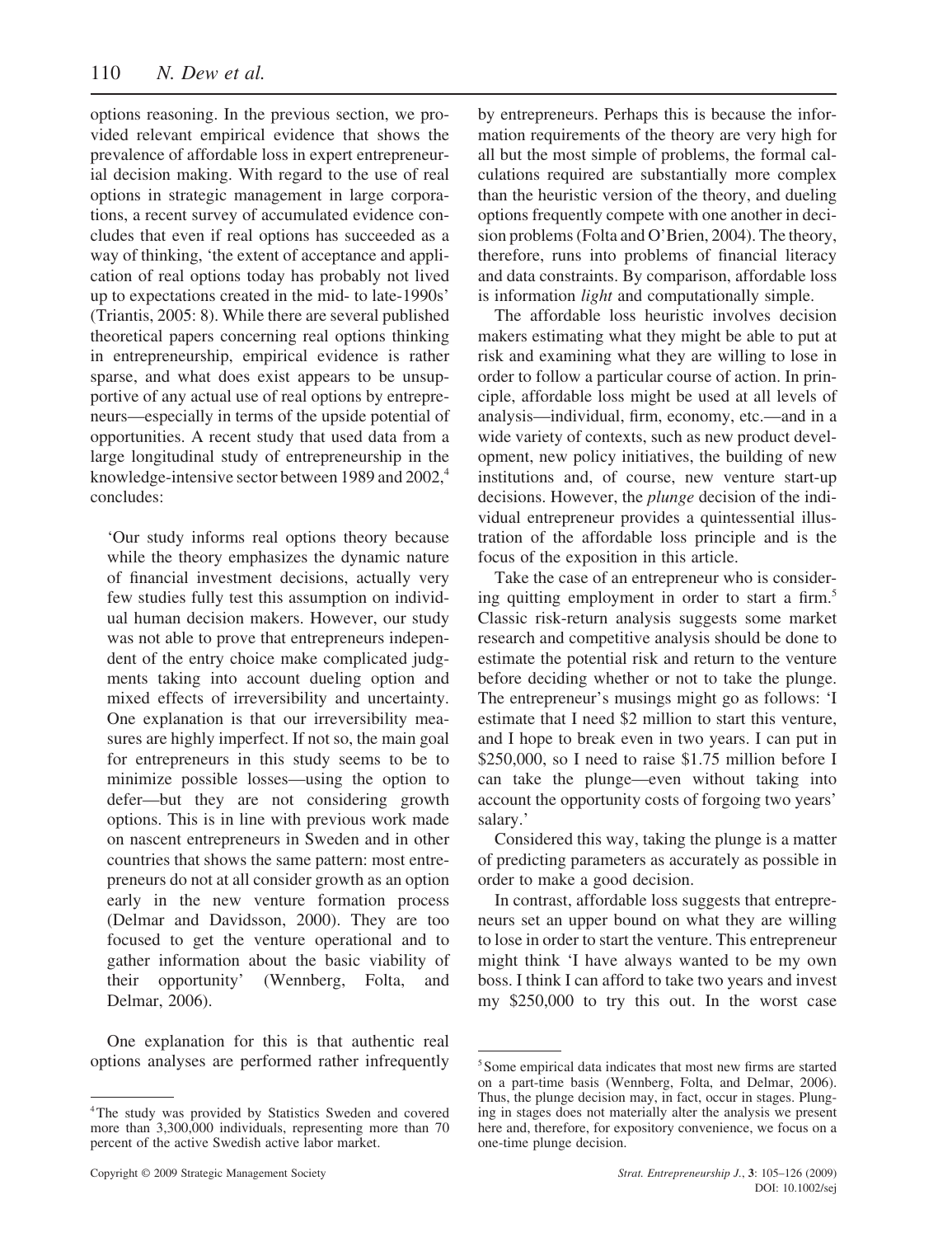options reasoning. In the previous section, we provided relevant empirical evidence that shows the prevalence of affordable loss in expert entrepreneurial decision making. With regard to the use of real options in strategic management in large corporations, a recent survey of accumulated evidence concludes that even if real options has succeeded as a way of thinking, 'the extent of acceptance and application of real options today has probably not lived up to expectations created in the mid- to late-1990s' (Triantis, 2005: 8). While there are several published theoretical papers concerning real options thinking in entrepreneurship, empirical evidence is rather sparse, and what does exist appears to be unsupportive of any actual use of real options by entrepreneurs—especially in terms of the upside potential of opportunities. A recent study that used data from a large longitudinal study of entrepreneurship in the knowledge-intensive sector between 1989 and 2002,<sup>4</sup> concludes:

'Our study informs real options theory because while the theory emphasizes the dynamic nature of financial investment decisions, actually very few studies fully test this assumption on individual human decision makers. However, our study was not able to prove that entrepreneurs independent of the entry choice make complicated judgments taking into account dueling option and mixed effects of irreversibility and uncertainty. One explanation is that our irreversibility measures are highly imperfect. If not so, the main goal for entrepreneurs in this study seems to be to minimize possible losses—using the option to defer—but they are not considering growth options. This is in line with previous work made on nascent entrepreneurs in Sweden and in other countries that shows the same pattern: most entrepreneurs do not at all consider growth as an option early in the new venture formation process (Delmar and Davidsson, 2000). They are too focused to get the venture operational and to gather information about the basic viability of their opportunity' (Wennberg, Folta, and Delmar, 2006).

One explanation for this is that authentic real options analyses are performed rather infrequently

by entrepreneurs. Perhaps this is because the information requirements of the theory are very high for all but the most simple of problems, the formal calculations required are substantially more complex than the heuristic version of the theory, and dueling options frequently compete with one another in decision problems (Folta and O'Brien, 2004). The theory, therefore, runs into problems of financial literacy and data constraints. By comparison, affordable loss is information *light* and computationally simple.

The affordable loss heuristic involves decision makers estimating what they might be able to put at risk and examining what they are willing to lose in order to follow a particular course of action. In principle, affordable loss might be used at all levels of analysis—individual, firm, economy, etc.—and in a wide variety of contexts, such as new product development, new policy initiatives, the building of new institutions and, of course, new venture start-up decisions. However, the *plunge* decision of the individual entrepreneur provides a quintessential illustration of the affordable loss principle and is the focus of the exposition in this article.

Take the case of an entrepreneur who is considering quitting employment in order to start a firm.<sup>5</sup> Classic risk-return analysis suggests some market research and competitive analysis should be done to estimate the potential risk and return to the venture before deciding whether or not to take the plunge. The entrepreneur's musings might go as follows: 'I estimate that I need \$2 million to start this venture, and I hope to break even in two years. I can put in \$250,000, so I need to raise \$1.75 million before I can take the plunge—even without taking into account the opportunity costs of forgoing two years' salary.'

Considered this way, taking the plunge is a matter of predicting parameters as accurately as possible in order to make a good decision.

In contrast, affordable loss suggests that entrepreneurs set an upper bound on what they are willing to lose in order to start the venture. This entrepreneur might think 'I have always wanted to be my own boss. I think I can afford to take two years and invest my \$250,000 to try this out. In the worst case

<sup>4</sup>The study was provided by Statistics Sweden and covered more than 3,300,000 individuals, representing more than 70 percent of the active Swedish active labor market.

<sup>&</sup>lt;sup>5</sup> Some empirical data indicates that most new firms are started on a part-time basis (Wennberg, Folta, and Delmar, 2006). Thus, the plunge decision may, in fact, occur in stages. Plunging in stages does not materially alter the analysis we present here and, therefore, for expository convenience, we focus on a one-time plunge decision.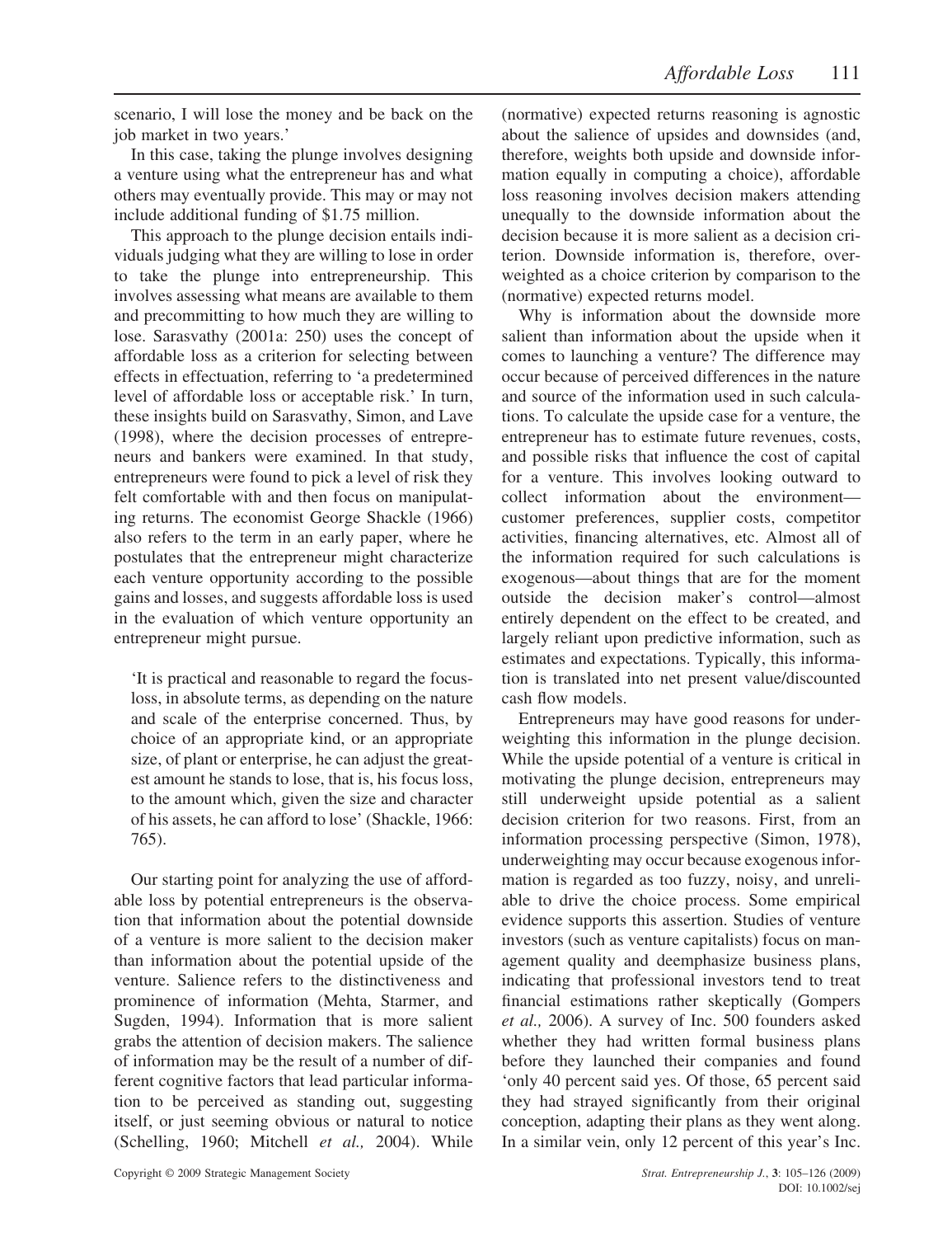scenario, I will lose the money and be back on the job market in two years.'

In this case, taking the plunge involves designing a venture using what the entrepreneur has and what others may eventually provide. This may or may not include additional funding of \$1.75 million.

This approach to the plunge decision entails individuals judging what they are willing to lose in order to take the plunge into entrepreneurship. This involves assessing what means are available to them and precommitting to how much they are willing to lose. Sarasvathy (2001a: 250) uses the concept of affordable loss as a criterion for selecting between effects in effectuation, referring to 'a predetermined level of affordable loss or acceptable risk.' In turn, these insights build on Sarasvathy, Simon, and Lave (1998), where the decision processes of entrepreneurs and bankers were examined. In that study, entrepreneurs were found to pick a level of risk they felt comfortable with and then focus on manipulating returns. The economist George Shackle (1966) also refers to the term in an early paper, where he postulates that the entrepreneur might characterize each venture opportunity according to the possible gains and losses, and suggests affordable loss is used in the evaluation of which venture opportunity an entrepreneur might pursue.

'It is practical and reasonable to regard the focusloss, in absolute terms, as depending on the nature and scale of the enterprise concerned. Thus, by choice of an appropriate kind, or an appropriate size, of plant or enterprise, he can adjust the greatest amount he stands to lose, that is, his focus loss, to the amount which, given the size and character of his assets, he can afford to lose' (Shackle, 1966: 765).

Our starting point for analyzing the use of affordable loss by potential entrepreneurs is the observation that information about the potential downside of a venture is more salient to the decision maker than information about the potential upside of the venture. Salience refers to the distinctiveness and prominence of information (Mehta, Starmer, and Sugden, 1994). Information that is more salient grabs the attention of decision makers. The salience of information may be the result of a number of different cognitive factors that lead particular information to be perceived as standing out, suggesting itself, or just seeming obvious or natural to notice (Schelling, 1960; Mitchell *et al.,* 2004). While

(normative) expected returns reasoning is agnostic about the salience of upsides and downsides (and, therefore, weights both upside and downside information equally in computing a choice), affordable loss reasoning involves decision makers attending unequally to the downside information about the decision because it is more salient as a decision criterion. Downside information is, therefore, overweighted as a choice criterion by comparison to the (normative) expected returns model.

Why is information about the downside more salient than information about the upside when it comes to launching a venture? The difference may occur because of perceived differences in the nature and source of the information used in such calculations. To calculate the upside case for a venture, the entrepreneur has to estimate future revenues, costs, and possible risks that influence the cost of capital for a venture. This involves looking outward to collect information about the environment customer preferences, supplier costs, competitor activities, financing alternatives, etc. Almost all of the information required for such calculations is exogenous—about things that are for the moment outside the decision maker's control—almost entirely dependent on the effect to be created, and largely reliant upon predictive information, such as estimates and expectations. Typically, this information is translated into net present value/discounted cash flow models.

Entrepreneurs may have good reasons for underweighting this information in the plunge decision. While the upside potential of a venture is critical in motivating the plunge decision, entrepreneurs may still underweight upside potential as a salient decision criterion for two reasons. First, from an information processing perspective (Simon, 1978), underweighting may occur because exogenous information is regarded as too fuzzy, noisy, and unreliable to drive the choice process. Some empirical evidence supports this assertion. Studies of venture investors (such as venture capitalists) focus on management quality and deemphasize business plans, indicating that professional investors tend to treat financial estimations rather skeptically (Gompers *et al.,* 2006). A survey of Inc. 500 founders asked whether they had written formal business plans before they launched their companies and found 'only 40 percent said yes. Of those, 65 percent said they had strayed significantly from their original conception, adapting their plans as they went along. In a similar vein, only 12 percent of this year's Inc.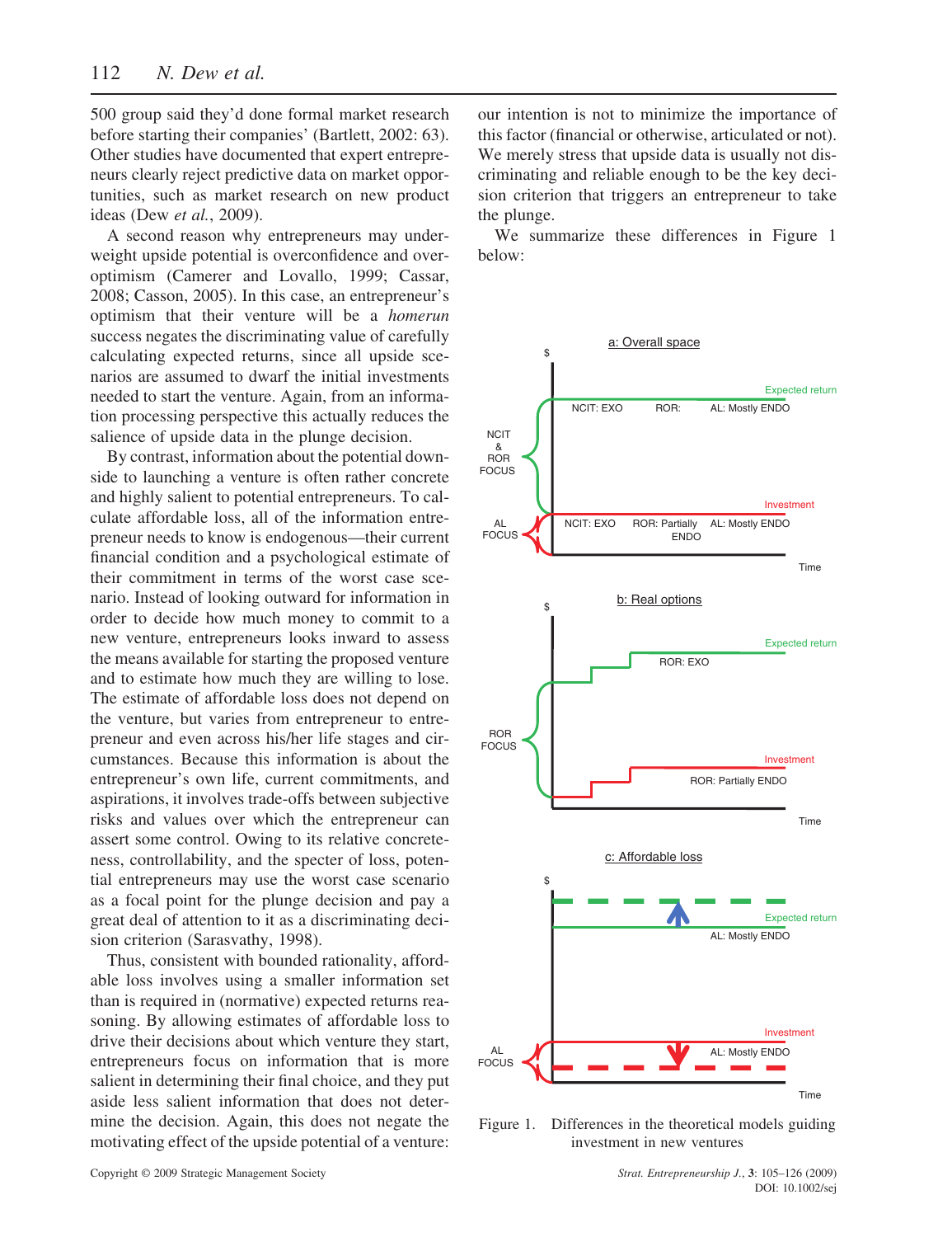500 group said they'd done formal market research before starting their companies' (Bartlett, 2002: 63). Other studies have documented that expert entrepreneurs clearly reject predictive data on market opportunities, such as market research on new product ideas (Dew *et al.*, 2009).

A second reason why entrepreneurs may underweight upside potential is overconfidence and overoptimism (Camerer and Lovallo, 1999; Cassar, 2008; Casson, 2005). In this case, an entrepreneur's optimism that their venture will be a *homerun* success negates the discriminating value of carefully calculating expected returns, since all upside scenarios are assumed to dwarf the initial investments needed to start the venture. Again, from an information processing perspective this actually reduces the salience of upside data in the plunge decision.

By contrast, information about the potential downside to launching a venture is often rather concrete and highly salient to potential entrepreneurs. To calculate affordable loss, all of the information entrepreneur needs to know is endogenous—their current financial condition and a psychological estimate of their commitment in terms of the worst case scenario. Instead of looking outward for information in order to decide how much money to commit to a new venture, entrepreneurs looks inward to assess the means available for starting the proposed venture and to estimate how much they are willing to lose. The estimate of affordable loss does not depend on the venture, but varies from entrepreneur to entrepreneur and even across his/her life stages and circumstances. Because this information is about the entrepreneur's own life, current commitments, and aspirations, it involves trade-offs between subjective risks and values over which the entrepreneur can assert some control. Owing to its relative concreteness, controllability, and the specter of loss, potential entrepreneurs may use the worst case scenario as a focal point for the plunge decision and pay a great deal of attention to it as a discriminating decision criterion (Sarasvathy, 1998).

Thus, consistent with bounded rationality, affordable loss involves using a smaller information set than is required in (normative) expected returns reasoning. By allowing estimates of affordable loss to drive their decisions about which venture they start, entrepreneurs focus on information that is more salient in determining their final choice, and they put aside less salient information that does not determine the decision. Again, this does not negate the motivating effect of the upside potential of a venture:

our intention is not to minimize the importance of this factor (financial or otherwise, articulated or not). We merely stress that upside data is usually not discriminating and reliable enough to be the key decision criterion that triggers an entrepreneur to take the plunge.

We summarize these differences in Figure 1 below:



Figure 1. Differences in the theoretical models guiding investment in new ventures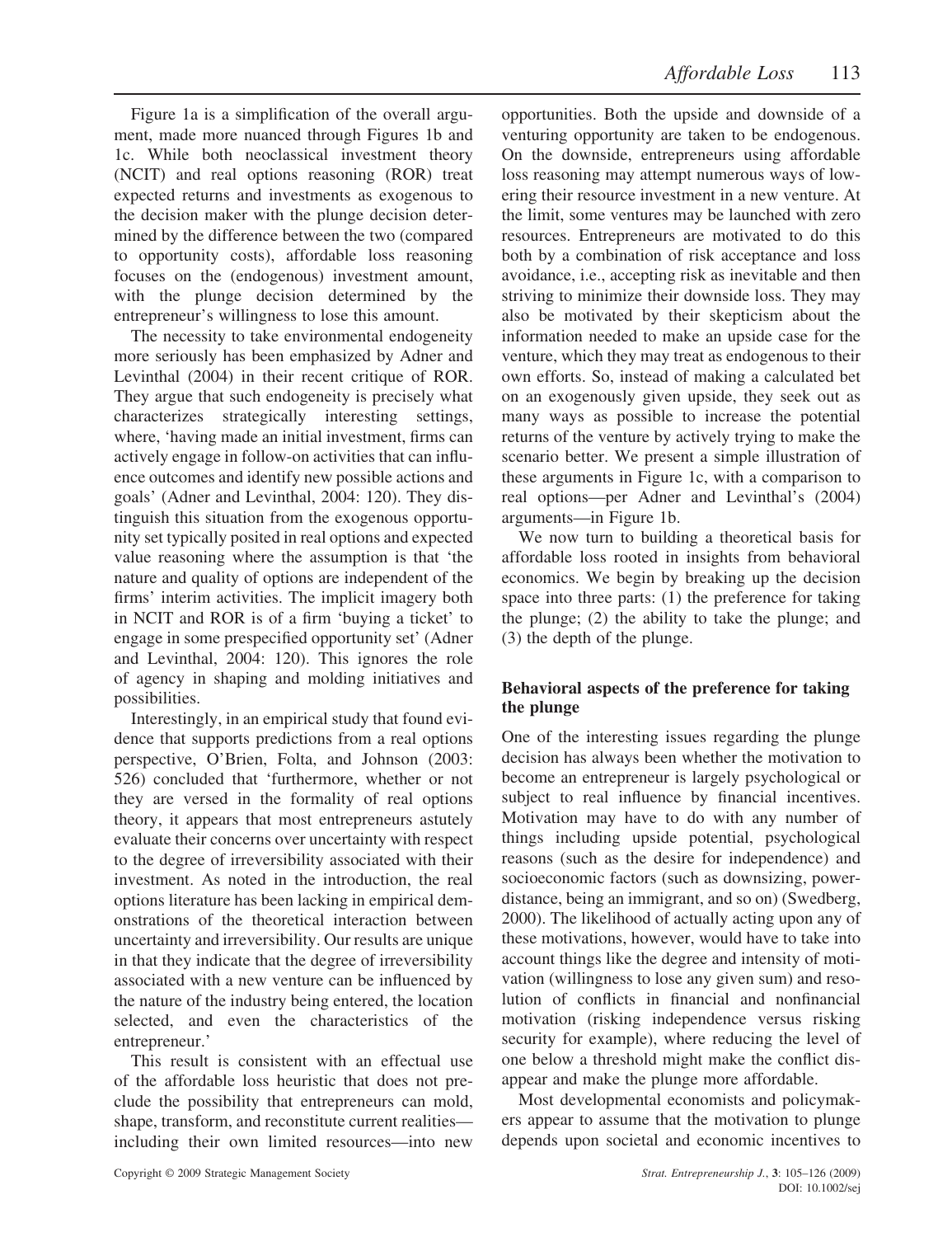Figure 1a is a simplification of the overall argument, made more nuanced through Figures 1b and 1c. While both neoclassical investment theory (NCIT) and real options reasoning (ROR) treat expected returns and investments as exogenous to the decision maker with the plunge decision determined by the difference between the two (compared to opportunity costs), affordable loss reasoning focuses on the (endogenous) investment amount, with the plunge decision determined by the entrepreneur's willingness to lose this amount.

The necessity to take environmental endogeneity more seriously has been emphasized by Adner and Levinthal (2004) in their recent critique of ROR. They argue that such endogeneity is precisely what characterizes strategically interesting settings, where, 'having made an initial investment, firms can actively engage in follow-on activities that can influence outcomes and identify new possible actions and goals' (Adner and Levinthal, 2004: 120). They distinguish this situation from the exogenous opportunity set typically posited in real options and expected value reasoning where the assumption is that 'the nature and quality of options are independent of the firms' interim activities. The implicit imagery both in NCIT and ROR is of a firm 'buying a ticket' to engage in some prespecified opportunity set' (Adner and Levinthal, 2004: 120). This ignores the role of agency in shaping and molding initiatives and possibilities.

Interestingly, in an empirical study that found evidence that supports predictions from a real options perspective, O'Brien, Folta, and Johnson (2003: 526) concluded that 'furthermore, whether or not they are versed in the formality of real options theory, it appears that most entrepreneurs astutely evaluate their concerns over uncertainty with respect to the degree of irreversibility associated with their investment. As noted in the introduction, the real options literature has been lacking in empirical demonstrations of the theoretical interaction between uncertainty and irreversibility. Our results are unique in that they indicate that the degree of irreversibility associated with a new venture can be influenced by the nature of the industry being entered, the location selected, and even the characteristics of the entrepreneur.'

This result is consistent with an effectual use of the affordable loss heuristic that does not preclude the possibility that entrepreneurs can mold, shape, transform, and reconstitute current realities including their own limited resources—into new opportunities. Both the upside and downside of a venturing opportunity are taken to be endogenous. On the downside, entrepreneurs using affordable loss reasoning may attempt numerous ways of lowering their resource investment in a new venture. At the limit, some ventures may be launched with zero resources. Entrepreneurs are motivated to do this both by a combination of risk acceptance and loss avoidance, i.e., accepting risk as inevitable and then striving to minimize their downside loss. They may also be motivated by their skepticism about the information needed to make an upside case for the venture, which they may treat as endogenous to their own efforts. So, instead of making a calculated bet on an exogenously given upside, they seek out as many ways as possible to increase the potential returns of the venture by actively trying to make the scenario better. We present a simple illustration of these arguments in Figure 1c, with a comparison to real options—per Adner and Levinthal's (2004) arguments—in Figure 1b.

We now turn to building a theoretical basis for affordable loss rooted in insights from behavioral economics. We begin by breaking up the decision space into three parts: (1) the preference for taking the plunge; (2) the ability to take the plunge; and (3) the depth of the plunge.

### **Behavioral aspects of the preference for taking the plunge**

One of the interesting issues regarding the plunge decision has always been whether the motivation to become an entrepreneur is largely psychological or subject to real influence by financial incentives. Motivation may have to do with any number of things including upside potential, psychological reasons (such as the desire for independence) and socioeconomic factors (such as downsizing, powerdistance, being an immigrant, and so on) (Swedberg, 2000). The likelihood of actually acting upon any of these motivations, however, would have to take into account things like the degree and intensity of motivation (willingness to lose any given sum) and resolution of conflicts in financial and nonfinancial motivation (risking independence versus risking security for example), where reducing the level of one below a threshold might make the conflict disappear and make the plunge more affordable.

Most developmental economists and policymakers appear to assume that the motivation to plunge depends upon societal and economic incentives to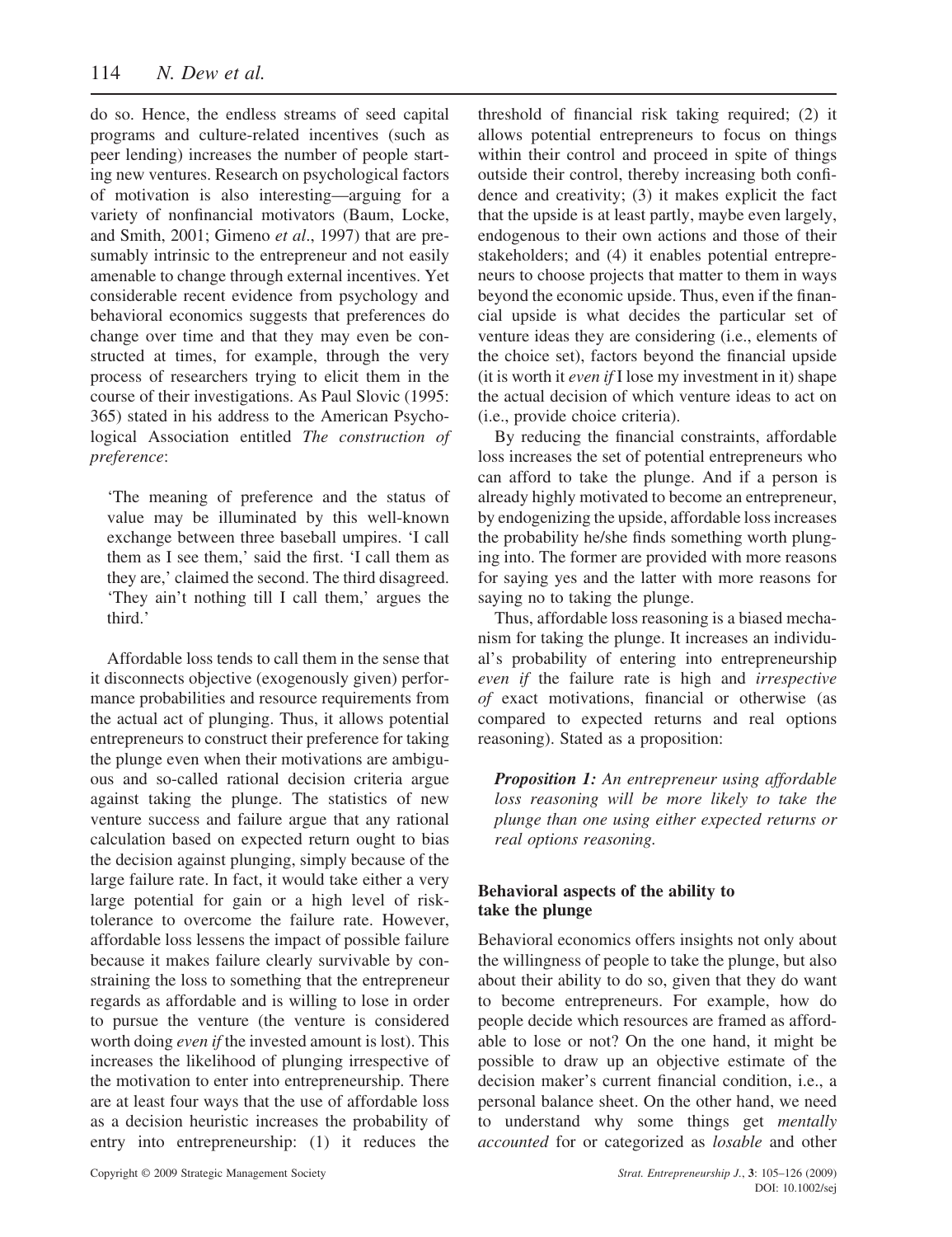do so. Hence, the endless streams of seed capital programs and culture-related incentives (such as peer lending) increases the number of people starting new ventures. Research on psychological factors of motivation is also interesting—arguing for a variety of nonfinancial motivators (Baum, Locke, and Smith, 2001; Gimeno *et al*., 1997) that are presumably intrinsic to the entrepreneur and not easily amenable to change through external incentives. Yet considerable recent evidence from psychology and behavioral economics suggests that preferences do change over time and that they may even be constructed at times, for example, through the very process of researchers trying to elicit them in the course of their investigations. As Paul Slovic (1995: 365) stated in his address to the American Psychological Association entitled *The construction of preference*:

'The meaning of preference and the status of value may be illuminated by this well-known exchange between three baseball umpires. 'I call them as I see them,' said the first. 'I call them as they are,' claimed the second. The third disagreed. 'They ain't nothing till I call them,' argues the third.'

Affordable loss tends to call them in the sense that it disconnects objective (exogenously given) performance probabilities and resource requirements from the actual act of plunging. Thus, it allows potential entrepreneurs to construct their preference for taking the plunge even when their motivations are ambiguous and so-called rational decision criteria argue against taking the plunge. The statistics of new venture success and failure argue that any rational calculation based on expected return ought to bias the decision against plunging, simply because of the large failure rate. In fact, it would take either a very large potential for gain or a high level of risktolerance to overcome the failure rate. However, affordable loss lessens the impact of possible failure because it makes failure clearly survivable by constraining the loss to something that the entrepreneur regards as affordable and is willing to lose in order to pursue the venture (the venture is considered worth doing *even if* the invested amount is lost). This increases the likelihood of plunging irrespective of the motivation to enter into entrepreneurship. There are at least four ways that the use of affordable loss as a decision heuristic increases the probability of entry into entrepreneurship: (1) it reduces the

threshold of financial risk taking required; (2) it allows potential entrepreneurs to focus on things within their control and proceed in spite of things outside their control, thereby increasing both confidence and creativity; (3) it makes explicit the fact that the upside is at least partly, maybe even largely, endogenous to their own actions and those of their stakeholders; and (4) it enables potential entrepreneurs to choose projects that matter to them in ways beyond the economic upside. Thus, even if the financial upside is what decides the particular set of venture ideas they are considering (i.e., elements of the choice set), factors beyond the financial upside (it is worth it *even if* I lose my investment in it) shape the actual decision of which venture ideas to act on (i.e., provide choice criteria).

By reducing the financial constraints, affordable loss increases the set of potential entrepreneurs who can afford to take the plunge. And if a person is already highly motivated to become an entrepreneur, by endogenizing the upside, affordable loss increases the probability he/she finds something worth plunging into. The former are provided with more reasons for saying yes and the latter with more reasons for saying no to taking the plunge.

Thus, affordable loss reasoning is a biased mechanism for taking the plunge. It increases an individual's probability of entering into entrepreneurship *even if* the failure rate is high and *irrespective of* exact motivations, financial or otherwise (as compared to expected returns and real options reasoning). Stated as a proposition:

*Proposition 1: An entrepreneur using affordable loss reasoning will be more likely to take the plunge than one using either expected returns or real options reasoning.*

### **Behavioral aspects of the ability to take the plunge**

Behavioral economics offers insights not only about the willingness of people to take the plunge, but also about their ability to do so, given that they do want to become entrepreneurs. For example, how do people decide which resources are framed as affordable to lose or not? On the one hand, it might be possible to draw up an objective estimate of the decision maker's current financial condition, i.e., a personal balance sheet. On the other hand, we need to understand why some things get *mentally accounted* for or categorized as *losable* and other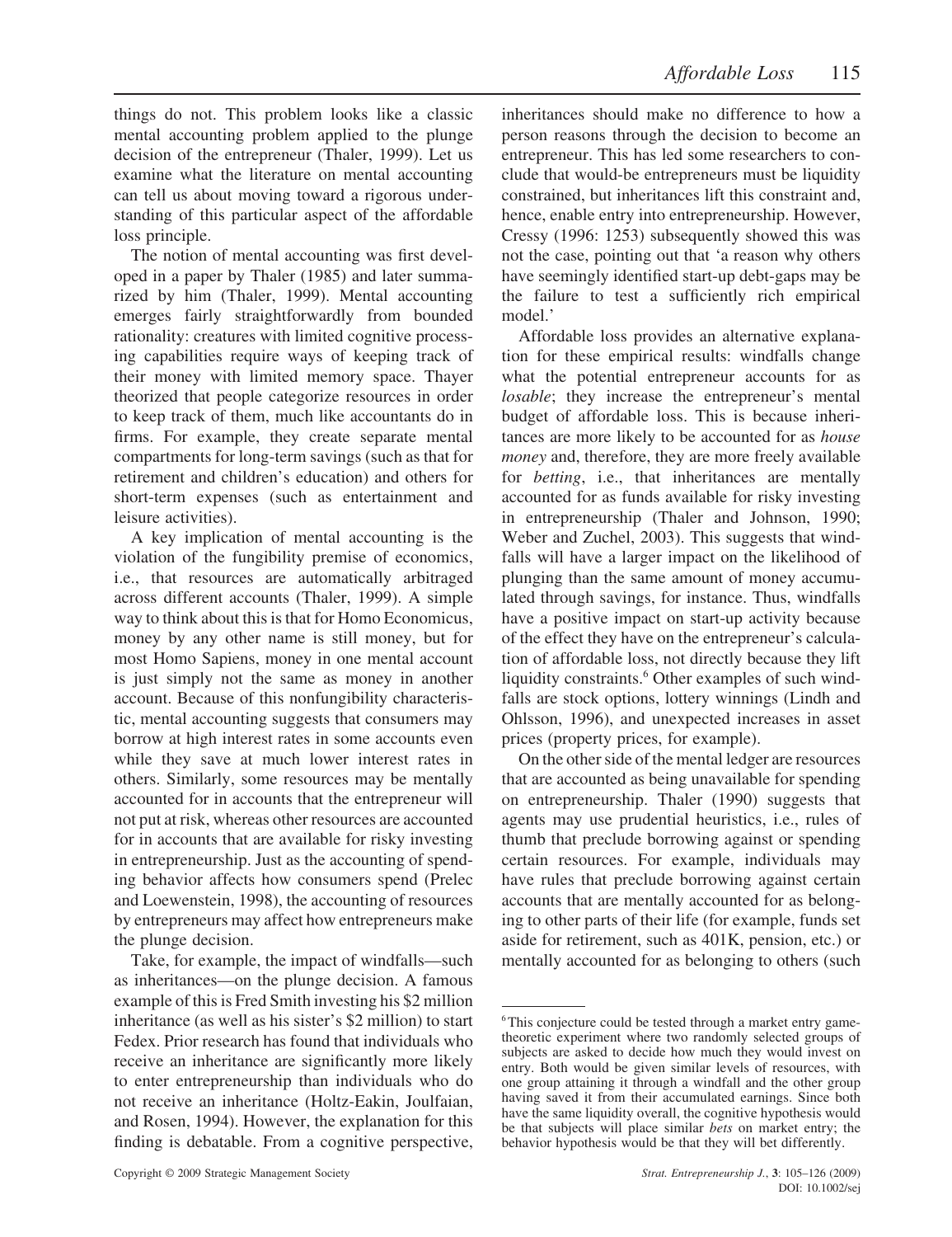things do not. This problem looks like a classic mental accounting problem applied to the plunge decision of the entrepreneur (Thaler, 1999). Let us examine what the literature on mental accounting can tell us about moving toward a rigorous understanding of this particular aspect of the affordable loss principle.

The notion of mental accounting was first developed in a paper by Thaler (1985) and later summarized by him (Thaler, 1999). Mental accounting emerges fairly straightforwardly from bounded rationality: creatures with limited cognitive processing capabilities require ways of keeping track of their money with limited memory space. Thayer theorized that people categorize resources in order to keep track of them, much like accountants do in firms. For example, they create separate mental compartments for long-term savings (such as that for retirement and children's education) and others for short-term expenses (such as entertainment and leisure activities).

A key implication of mental accounting is the violation of the fungibility premise of economics, i.e., that resources are automatically arbitraged across different accounts (Thaler, 1999). A simple way to think about this is that for Homo Economicus, money by any other name is still money, but for most Homo Sapiens, money in one mental account is just simply not the same as money in another account. Because of this nonfungibility characteristic, mental accounting suggests that consumers may borrow at high interest rates in some accounts even while they save at much lower interest rates in others. Similarly, some resources may be mentally accounted for in accounts that the entrepreneur will not put at risk, whereas other resources are accounted for in accounts that are available for risky investing in entrepreneurship. Just as the accounting of spending behavior affects how consumers spend (Prelec and Loewenstein, 1998), the accounting of resources by entrepreneurs may affect how entrepreneurs make the plunge decision.

Take, for example, the impact of windfalls—such as inheritances—on the plunge decision. A famous example of this is Fred Smith investing his \$2 million inheritance (as well as his sister's \$2 million) to start Fedex. Prior research has found that individuals who receive an inheritance are significantly more likely to enter entrepreneurship than individuals who do not receive an inheritance (Holtz-Eakin, Joulfaian, and Rosen, 1994). However, the explanation for this finding is debatable. From a cognitive perspective,

inheritances should make no difference to how a person reasons through the decision to become an entrepreneur. This has led some researchers to conclude that would-be entrepreneurs must be liquidity constrained, but inheritances lift this constraint and, hence, enable entry into entrepreneurship. However, Cressy (1996: 1253) subsequently showed this was not the case, pointing out that 'a reason why others have seemingly identified start-up debt-gaps may be the failure to test a sufficiently rich empirical model.'

Affordable loss provides an alternative explanation for these empirical results: windfalls change what the potential entrepreneur accounts for as *losable*; they increase the entrepreneur's mental budget of affordable loss. This is because inheritances are more likely to be accounted for as *house money* and, therefore, they are more freely available for *betting*, i.e., that inheritances are mentally accounted for as funds available for risky investing in entrepreneurship (Thaler and Johnson, 1990; Weber and Zuchel, 2003). This suggests that windfalls will have a larger impact on the likelihood of plunging than the same amount of money accumulated through savings, for instance. Thus, windfalls have a positive impact on start-up activity because of the effect they have on the entrepreneur's calculation of affordable loss, not directly because they lift liquidity constraints.<sup>6</sup> Other examples of such windfalls are stock options, lottery winnings (Lindh and Ohlsson, 1996), and unexpected increases in asset prices (property prices, for example).

On the other side of the mental ledger are resources that are accounted as being unavailable for spending on entrepreneurship. Thaler (1990) suggests that agents may use prudential heuristics, i.e., rules of thumb that preclude borrowing against or spending certain resources. For example, individuals may have rules that preclude borrowing against certain accounts that are mentally accounted for as belonging to other parts of their life (for example, funds set aside for retirement, such as 401K, pension, etc.) or mentally accounted for as belonging to others (such

<sup>&</sup>lt;sup>6</sup>This conjecture could be tested through a market entry gametheoretic experiment where two randomly selected groups of subjects are asked to decide how much they would invest on entry. Both would be given similar levels of resources, with one group attaining it through a windfall and the other group having saved it from their accumulated earnings. Since both have the same liquidity overall, the cognitive hypothesis would be that subjects will place similar *bets* on market entry; the behavior hypothesis would be that they will bet differently.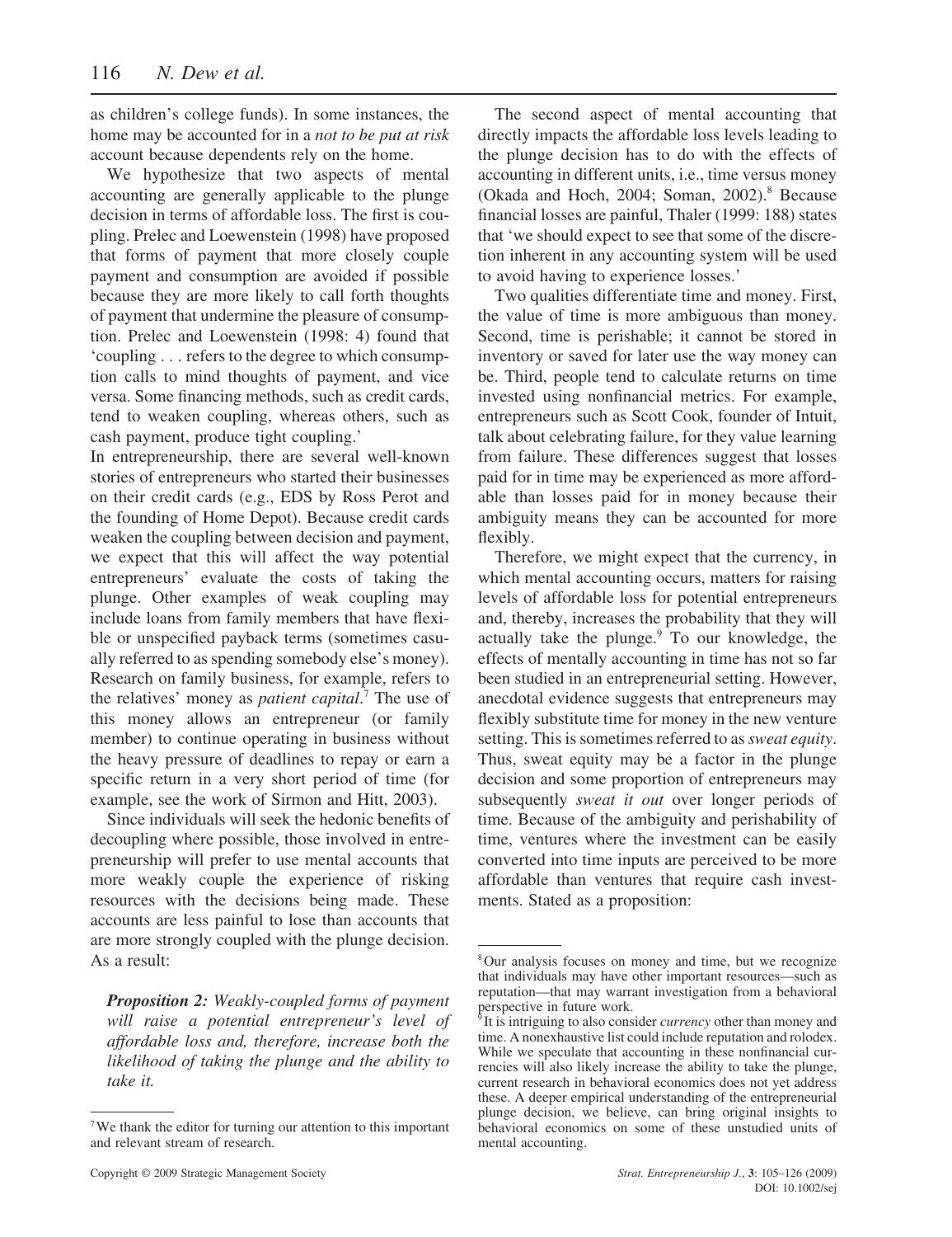as children's college funds). In some instances, the home may be accounted for in a *not to be put at risk* account because dependents rely on the home.

We hypothesize that two aspects of mental accounting are generally applicable to the plunge decision in terms of affordable loss. The first is coupling. Prelec and Loewenstein (1998) have proposed that forms of payment that more closely couple payment and consumption are avoided if possible because they are more likely to call forth thoughts of payment that undermine the pleasure of consumption. Prelec and Loewenstein (1998: 4) found that 'coupling . . . refers to the degree to which consumption calls to mind thoughts of payment, and vice versa. Some financing methods, such as credit cards, tend to weaken coupling, whereas others, such as cash payment, produce tight coupling.'

In entrepreneurship, there are several well-known stories of entrepreneurs who started their businesses on their credit cards (e.g., EDS by Ross Perot and the founding of Home Depot). Because credit cards weaken the coupling between decision and payment, we expect that this will affect the way potential entrepreneurs' evaluate the costs of taking the plunge. Other examples of weak coupling may include loans from family members that have flexible or unspecified payback terms (sometimes casually referred to as spending somebody else's money). Research on family business, for example, refers to the relatives' money as *patient capital*. <sup>7</sup> The use of this money allows an entrepreneur (or family member) to continue operating in business without the heavy pressure of deadlines to repay or earn a specific return in a very short period of time (for example, see the work of Sirmon and Hitt, 2003).

Since individuals will seek the hedonic benefits of decoupling where possible, those involved in entrepreneurship will prefer to use mental accounts that more weakly couple the experience of risking resources with the decisions being made. These accounts are less painful to lose than accounts that are more strongly coupled with the plunge decision. As a result:

*Proposition 2: Weakly-coupled forms of payment will raise a potential entrepreneur's level of affordable loss and, therefore, increase both the likelihood of taking the plunge and the ability to take it.*

The second aspect of mental accounting that directly impacts the affordable loss levels leading to the plunge decision has to do with the effects of accounting in different units, i.e., time versus money (Okada and Hoch, 2004; Soman,  $2002$ ).<sup>8</sup> Because financial losses are painful, Thaler (1999: 188) states that 'we should expect to see that some of the discretion inherent in any accounting system will be used to avoid having to experience losses.'

Two qualities differentiate time and money. First, the value of time is more ambiguous than money. Second, time is perishable; it cannot be stored in inventory or saved for later use the way money can be. Third, people tend to calculate returns on time invested using nonfinancial metrics. For example, entrepreneurs such as Scott Cook, founder of Intuit, talk about celebrating failure, for they value learning from failure. These differences suggest that losses paid for in time may be experienced as more affordable than losses paid for in money because their ambiguity means they can be accounted for more flexibly.

Therefore, we might expect that the currency, in which mental accounting occurs, matters for raising levels of affordable loss for potential entrepreneurs and, thereby, increases the probability that they will actually take the plunge.<sup>9</sup> To our knowledge, the effects of mentally accounting in time has not so far been studied in an entrepreneurial setting. However, anecdotal evidence suggests that entrepreneurs may flexibly substitute time for money in the new venture setting. This is sometimes referred to as *sweat equity*. Thus, sweat equity may be a factor in the plunge decision and some proportion of entrepreneurs may subsequently *sweat it out* over longer periods of time. Because of the ambiguity and perishability of time, ventures where the investment can be easily converted into time inputs are perceived to be more affordable than ventures that require cash investments. Stated as a proposition:

 $7$ We thank the editor for turning our attention to this important and relevant stream of research.

<sup>8</sup>Our analysis focuses on money and time, but we recognize that individuals may have other important resources—such as reputation—that may warrant investigation from a behavioral perspective in future work.

<sup>9</sup> It is intriguing to also consider *currency* other than money and time. A nonexhaustive list could include reputation and rolodex. While we speculate that accounting in these nonfinancial currencies will also likely increase the ability to take the plunge, current research in behavioral economics does not yet address these. A deeper empirical understanding of the entrepreneurial plunge decision, we believe, can bring original insights to behavioral economics on some of these unstudied units of mental accounting.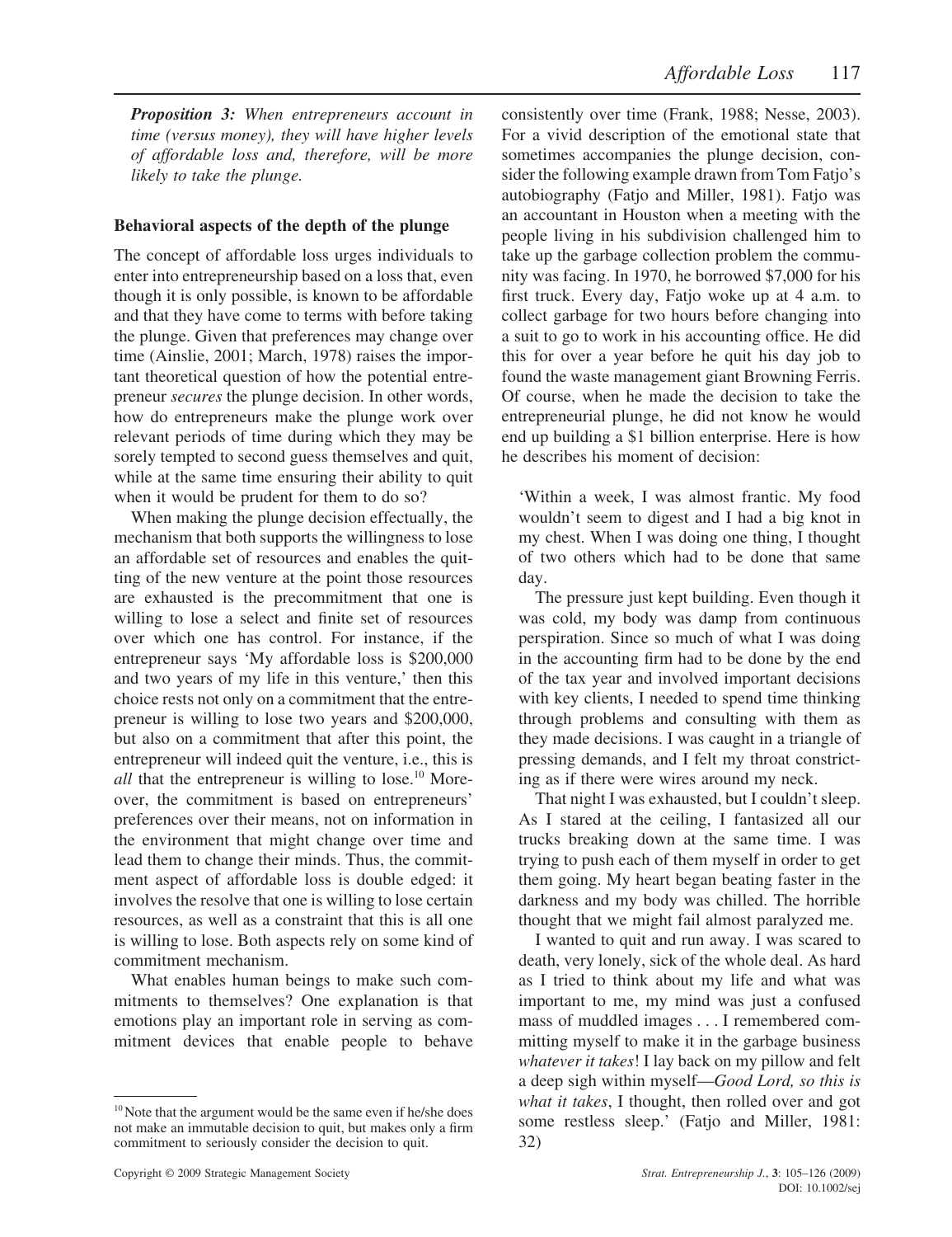*Proposition 3: When entrepreneurs account in time (versus money), they will have higher levels of affordable loss and, therefore, will be more likely to take the plunge.*

#### **Behavioral aspects of the depth of the plunge**

The concept of affordable loss urges individuals to enter into entrepreneurship based on a loss that, even though it is only possible, is known to be affordable and that they have come to terms with before taking the plunge. Given that preferences may change over time (Ainslie, 2001; March, 1978) raises the important theoretical question of how the potential entrepreneur *secures* the plunge decision. In other words, how do entrepreneurs make the plunge work over relevant periods of time during which they may be sorely tempted to second guess themselves and quit, while at the same time ensuring their ability to quit when it would be prudent for them to do so?

When making the plunge decision effectually, the mechanism that both supports the willingness to lose an affordable set of resources and enables the quitting of the new venture at the point those resources are exhausted is the precommitment that one is willing to lose a select and finite set of resources over which one has control. For instance, if the entrepreneur says 'My affordable loss is \$200,000 and two years of my life in this venture,' then this choice rests not only on a commitment that the entrepreneur is willing to lose two years and \$200,000, but also on a commitment that after this point, the entrepreneur will indeed quit the venture, i.e., this is *all* that the entrepreneur is willing to lose.<sup>10</sup> Moreover, the commitment is based on entrepreneurs' preferences over their means, not on information in the environment that might change over time and lead them to change their minds. Thus, the commitment aspect of affordable loss is double edged: it involves the resolve that one is willing to lose certain resources, as well as a constraint that this is all one is willing to lose. Both aspects rely on some kind of commitment mechanism.

What enables human beings to make such commitments to themselves? One explanation is that emotions play an important role in serving as commitment devices that enable people to behave

consistently over time (Frank, 1988; Nesse, 2003). For a vivid description of the emotional state that sometimes accompanies the plunge decision, consider the following example drawn from Tom Fatjo's autobiography (Fatjo and Miller, 1981). Fatjo was an accountant in Houston when a meeting with the people living in his subdivision challenged him to take up the garbage collection problem the community was facing. In 1970, he borrowed \$7,000 for his first truck. Every day, Fatjo woke up at 4 a.m. to collect garbage for two hours before changing into a suit to go to work in his accounting office. He did this for over a year before he quit his day job to found the waste management giant Browning Ferris. Of course, when he made the decision to take the entrepreneurial plunge, he did not know he would end up building a \$1 billion enterprise. Here is how he describes his moment of decision:

'Within a week, I was almost frantic. My food wouldn't seem to digest and I had a big knot in my chest. When I was doing one thing, I thought of two others which had to be done that same day.

The pressure just kept building. Even though it was cold, my body was damp from continuous perspiration. Since so much of what I was doing in the accounting firm had to be done by the end of the tax year and involved important decisions with key clients, I needed to spend time thinking through problems and consulting with them as they made decisions. I was caught in a triangle of pressing demands, and I felt my throat constricting as if there were wires around my neck.

That night I was exhausted, but I couldn't sleep. As I stared at the ceiling, I fantasized all our trucks breaking down at the same time. I was trying to push each of them myself in order to get them going. My heart began beating faster in the darkness and my body was chilled. The horrible thought that we might fail almost paralyzed me.

I wanted to quit and run away. I was scared to death, very lonely, sick of the whole deal. As hard as I tried to think about my life and what was important to me, my mind was just a confused mass of muddled images . . . I remembered committing myself to make it in the garbage business *whatever it takes*! I lay back on my pillow and felt a deep sigh within myself—*Good Lord, so this is what it takes*, I thought, then rolled over and got some restless sleep.' (Fatjo and Miller, 1981: 32)

<sup>&</sup>lt;sup>10</sup>Note that the argument would be the same even if he/she does not make an immutable decision to quit, but makes only a firm commitment to seriously consider the decision to quit.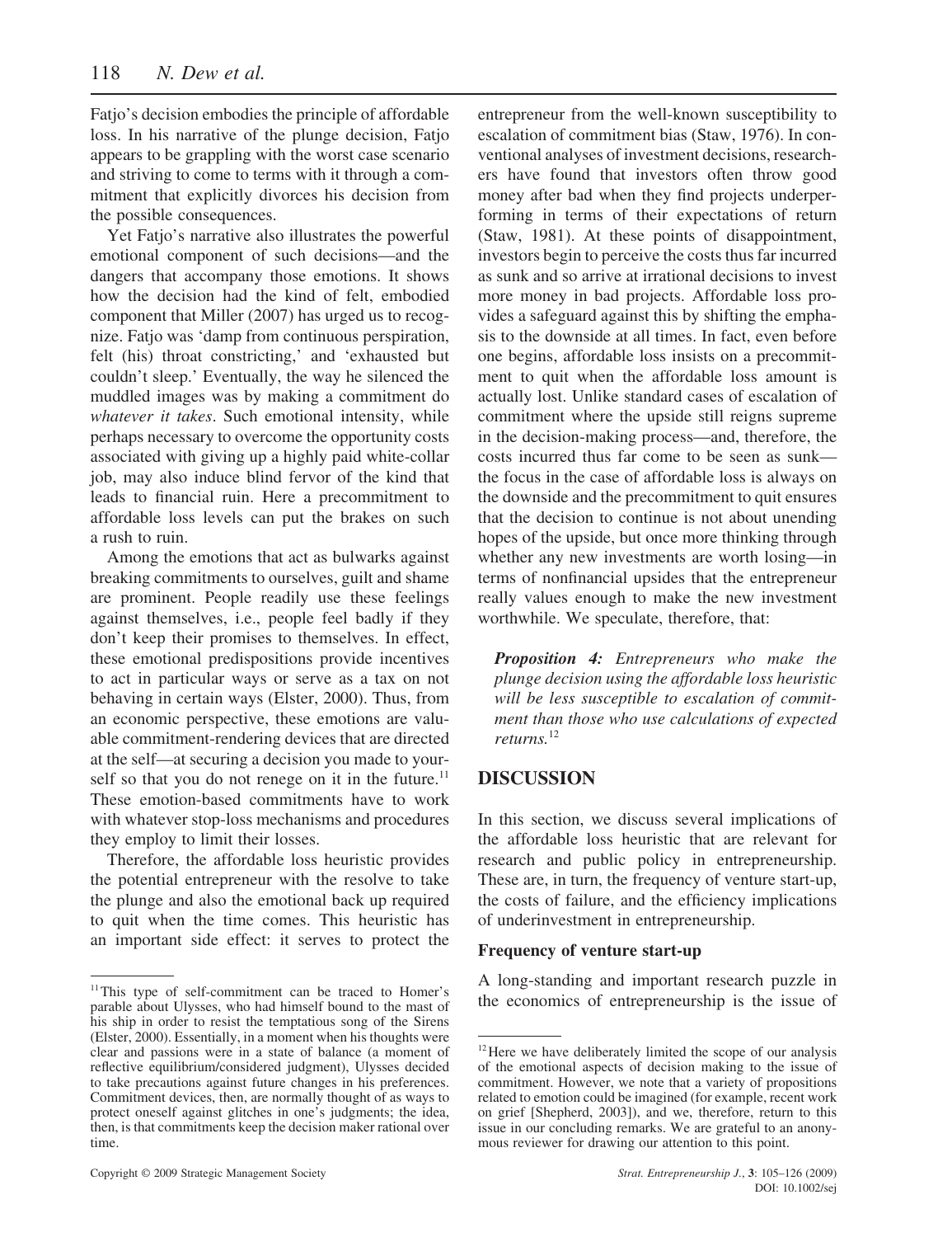Fatio's decision embodies the principle of affordable loss. In his narrative of the plunge decision, Fatjo appears to be grappling with the worst case scenario and striving to come to terms with it through a commitment that explicitly divorces his decision from the possible consequences.

Yet Fatio's narrative also illustrates the powerful emotional component of such decisions—and the dangers that accompany those emotions. It shows how the decision had the kind of felt, embodied component that Miller (2007) has urged us to recognize. Fatjo was 'damp from continuous perspiration, felt (his) throat constricting,' and 'exhausted but couldn't sleep.' Eventually, the way he silenced the muddled images was by making a commitment do *whatever it takes*. Such emotional intensity, while perhaps necessary to overcome the opportunity costs associated with giving up a highly paid white-collar job, may also induce blind fervor of the kind that leads to financial ruin. Here a precommitment to affordable loss levels can put the brakes on such a rush to ruin.

Among the emotions that act as bulwarks against breaking commitments to ourselves, guilt and shame are prominent. People readily use these feelings against themselves, i.e., people feel badly if they don't keep their promises to themselves. In effect, these emotional predispositions provide incentives to act in particular ways or serve as a tax on not behaving in certain ways (Elster, 2000). Thus, from an economic perspective, these emotions are valuable commitment-rendering devices that are directed at the self—at securing a decision you made to yourself so that you do not renege on it in the future.<sup>11</sup> These emotion-based commitments have to work with whatever stop-loss mechanisms and procedures they employ to limit their losses.

Therefore, the affordable loss heuristic provides the potential entrepreneur with the resolve to take the plunge and also the emotional back up required to quit when the time comes. This heuristic has an important side effect: it serves to protect the

entrepreneur from the well-known susceptibility to escalation of commitment bias (Staw, 1976). In conventional analyses of investment decisions, researchers have found that investors often throw good money after bad when they find projects underperforming in terms of their expectations of return (Staw, 1981). At these points of disappointment, investors begin to perceive the costs thus far incurred as sunk and so arrive at irrational decisions to invest more money in bad projects. Affordable loss provides a safeguard against this by shifting the emphasis to the downside at all times. In fact, even before one begins, affordable loss insists on a precommitment to quit when the affordable loss amount is actually lost. Unlike standard cases of escalation of commitment where the upside still reigns supreme in the decision-making process—and, therefore, the costs incurred thus far come to be seen as sunk the focus in the case of affordable loss is always on the downside and the precommitment to quit ensures that the decision to continue is not about unending hopes of the upside, but once more thinking through whether any new investments are worth losing—in terms of nonfinancial upsides that the entrepreneur really values enough to make the new investment worthwhile. We speculate, therefore, that:

*Proposition 4: Entrepreneurs who make the plunge decision using the affordable loss heuristic will be less susceptible to escalation of commitment than those who use calculations of expected returns.*<sup>12</sup>

### **DISCUSSION**

In this section, we discuss several implications of the affordable loss heuristic that are relevant for research and public policy in entrepreneurship. These are, in turn, the frequency of venture start-up, the costs of failure, and the efficiency implications of underinvestment in entrepreneurship.

#### **Frequency of venture start-up**

A long-standing and important research puzzle in  $\frac{11}{11}$ This type of self-commitment can be traced to Homer's  $\frac{11}{11}$  tong sumally und important research puzzle in negative in the interpreneurship is the issue of neutron puzzle in the interpreneurship is the iss

parable about Ulysses, who had himself bound to the mast of his ship in order to resist the temptatious song of the Sirens (Elster, 2000). Essentially, in a moment when his thoughts were clear and passions were in a state of balance (a moment of reflective equilibrium/considered judgment), Ulysses decided to take precautions against future changes in his preferences. Commitment devices, then, are normally thought of as ways to protect oneself against glitches in one's judgments; the idea, then, is that commitments keep the decision maker rational over time.

<sup>&</sup>lt;sup>12</sup> Here we have deliberately limited the scope of our analysis of the emotional aspects of decision making to the issue of commitment. However, we note that a variety of propositions related to emotion could be imagined (for example, recent work on grief [Shepherd, 2003]), and we, therefore, return to this issue in our concluding remarks. We are grateful to an anonymous reviewer for drawing our attention to this point.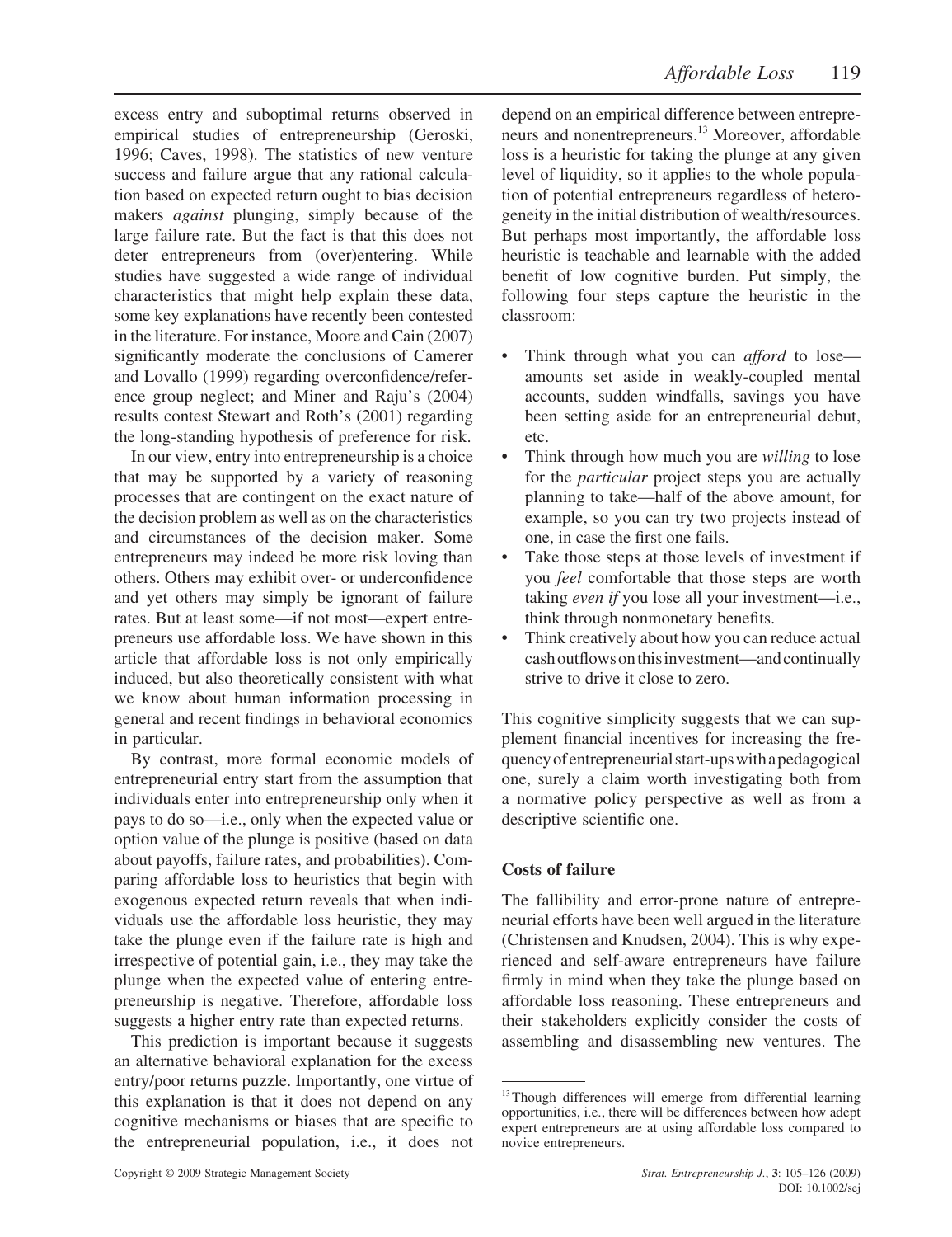excess entry and suboptimal returns observed in empirical studies of entrepreneurship (Geroski, 1996; Caves, 1998). The statistics of new venture success and failure argue that any rational calculation based on expected return ought to bias decision makers *against* plunging, simply because of the large failure rate. But the fact is that this does not deter entrepreneurs from (over)entering. While studies have suggested a wide range of individual characteristics that might help explain these data, some key explanations have recently been contested in the literature. For instance, Moore and Cain (2007) significantly moderate the conclusions of Camerer and Lovallo (1999) regarding overconfidence/reference group neglect; and Miner and Raju's (2004) results contest Stewart and Roth's (2001) regarding the long-standing hypothesis of preference for risk.

In our view, entry into entrepreneurship is a choice that may be supported by a variety of reasoning processes that are contingent on the exact nature of the decision problem as well as on the characteristics and circumstances of the decision maker. Some entrepreneurs may indeed be more risk loving than others. Others may exhibit over- or underconfidence and yet others may simply be ignorant of failure rates. But at least some—if not most—expert entrepreneurs use affordable loss. We have shown in this article that affordable loss is not only empirically induced, but also theoretically consistent with what we know about human information processing in general and recent findings in behavioral economics in particular.

By contrast, more formal economic models of entrepreneurial entry start from the assumption that individuals enter into entrepreneurship only when it pays to do so—i.e., only when the expected value or option value of the plunge is positive (based on data about payoffs, failure rates, and probabilities). Comparing affordable loss to heuristics that begin with exogenous expected return reveals that when individuals use the affordable loss heuristic, they may take the plunge even if the failure rate is high and irrespective of potential gain, i.e., they may take the plunge when the expected value of entering entrepreneurship is negative. Therefore, affordable loss suggests a higher entry rate than expected returns.

This prediction is important because it suggests an alternative behavioral explanation for the excess entry/poor returns puzzle. Importantly, one virtue of this explanation is that it does not depend on any cognitive mechanisms or biases that are specific to the entrepreneurial population, i.e., it does not

depend on an empirical difference between entrepreneurs and nonentrepreneurs.13 Moreover, affordable loss is a heuristic for taking the plunge at any given level of liquidity, so it applies to the whole population of potential entrepreneurs regardless of heterogeneity in the initial distribution of wealth/resources. But perhaps most importantly, the affordable loss heuristic is teachable and learnable with the added benefit of low cognitive burden. Put simply, the following four steps capture the heuristic in the classroom:

- Think through what you can *afford* to lose amounts set aside in weakly-coupled mental accounts, sudden windfalls, savings you have been setting aside for an entrepreneurial debut, etc.
- Think through how much you are *willing* to lose for the *particular* project steps you are actually planning to take—half of the above amount, for example, so you can try two projects instead of one, in case the first one fails.
- Take those steps at those levels of investment if you *feel* comfortable that those steps are worth taking *even if* you lose all your investment—i.e., think through nonmonetary benefits.
- Think creatively about how you can reduce actual cash outflows on this investment—and continually strive to drive it close to zero.

This cognitive simplicity suggests that we can supplement financial incentives for increasing the frequency of entrepreneurial start-ups with a pedagogical one, surely a claim worth investigating both from a normative policy perspective as well as from a descriptive scientific one.

# **Costs of failure**

The fallibility and error-prone nature of entrepreneurial efforts have been well argued in the literature (Christensen and Knudsen, 2004). This is why experienced and self-aware entrepreneurs have failure firmly in mind when they take the plunge based on affordable loss reasoning. These entrepreneurs and their stakeholders explicitly consider the costs of assembling and disassembling new ventures. The

<sup>&</sup>lt;sup>13</sup>Though differences will emerge from differential learning opportunities, i.e., there will be differences between how adept expert entrepreneurs are at using affordable loss compared to novice entrepreneurs.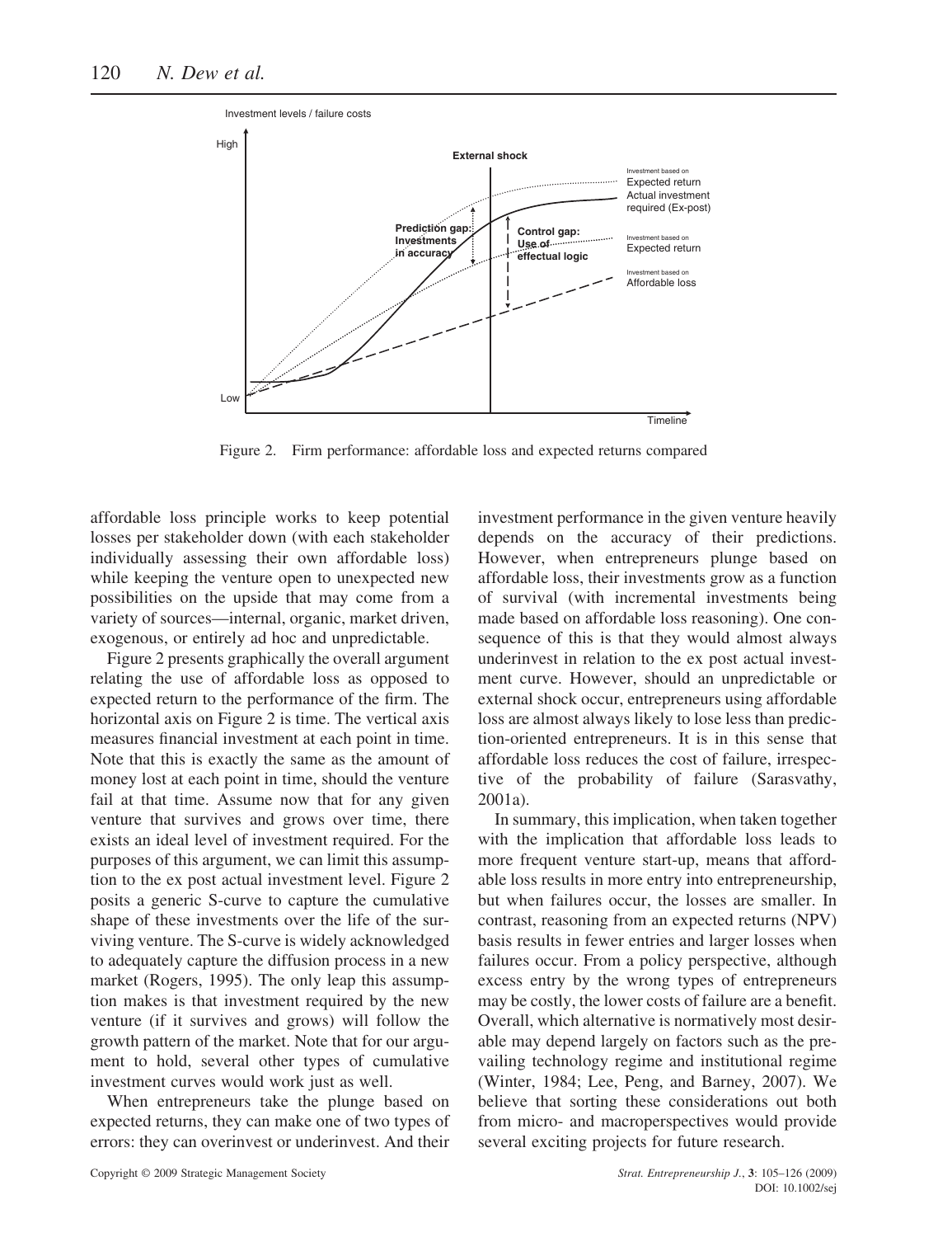

Figure 2. Firm performance: affordable loss and expected returns compared

affordable loss principle works to keep potential losses per stakeholder down (with each stakeholder individually assessing their own affordable loss) while keeping the venture open to unexpected new possibilities on the upside that may come from a variety of sources—internal, organic, market driven, exogenous, or entirely ad hoc and unpredictable.

Figure 2 presents graphically the overall argument relating the use of affordable loss as opposed to expected return to the performance of the firm. The horizontal axis on Figure 2 is time. The vertical axis measures financial investment at each point in time. Note that this is exactly the same as the amount of money lost at each point in time, should the venture fail at that time. Assume now that for any given venture that survives and grows over time, there exists an ideal level of investment required. For the purposes of this argument, we can limit this assumption to the ex post actual investment level. Figure 2 posits a generic S-curve to capture the cumulative shape of these investments over the life of the surviving venture. The S-curve is widely acknowledged to adequately capture the diffusion process in a new market (Rogers, 1995). The only leap this assumption makes is that investment required by the new venture (if it survives and grows) will follow the growth pattern of the market. Note that for our argument to hold, several other types of cumulative investment curves would work just as well.

When entrepreneurs take the plunge based on expected returns, they can make one of two types of errors: they can overinvest or underinvest. And their

investment performance in the given venture heavily depends on the accuracy of their predictions. However, when entrepreneurs plunge based on affordable loss, their investments grow as a function of survival (with incremental investments being made based on affordable loss reasoning). One consequence of this is that they would almost always underinvest in relation to the ex post actual investment curve. However, should an unpredictable or external shock occur, entrepreneurs using affordable loss are almost always likely to lose less than prediction-oriented entrepreneurs. It is in this sense that affordable loss reduces the cost of failure, irrespective of the probability of failure (Sarasvathy, 2001a).

In summary, this implication, when taken together with the implication that affordable loss leads to more frequent venture start-up, means that affordable loss results in more entry into entrepreneurship, but when failures occur, the losses are smaller. In contrast, reasoning from an expected returns (NPV) basis results in fewer entries and larger losses when failures occur. From a policy perspective, although excess entry by the wrong types of entrepreneurs may be costly, the lower costs of failure are a benefit. Overall, which alternative is normatively most desirable may depend largely on factors such as the prevailing technology regime and institutional regime (Winter, 1984; Lee, Peng, and Barney, 2007). We believe that sorting these considerations out both from micro- and macroperspectives would provide several exciting projects for future research.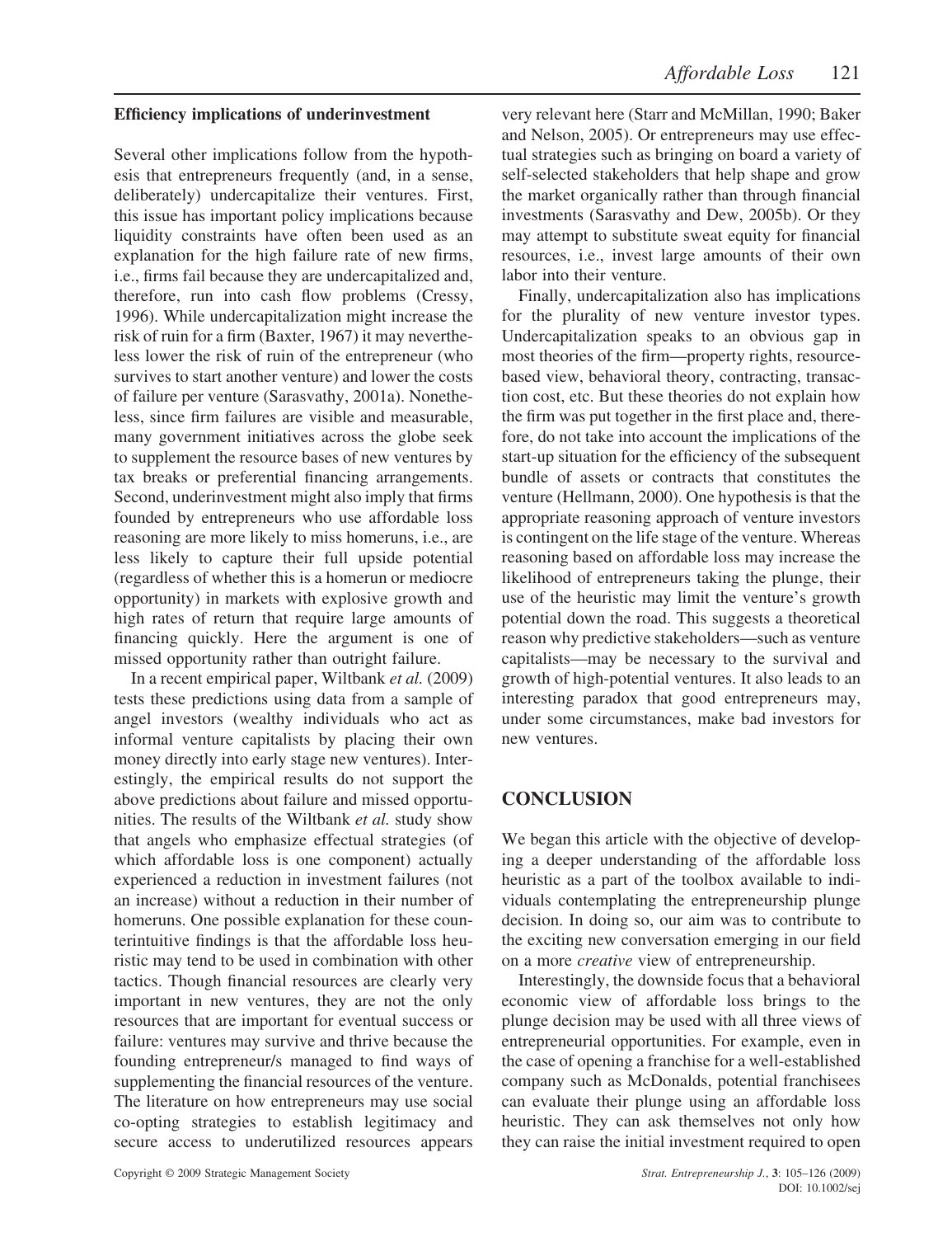#### **Efficiency implications of underinvestment**

Several other implications follow from the hypothesis that entrepreneurs frequently (and, in a sense, deliberately) undercapitalize their ventures. First, this issue has important policy implications because liquidity constraints have often been used as an explanation for the high failure rate of new firms, i.e., firms fail because they are undercapitalized and, therefore, run into cash flow problems (Cressy, 1996). While undercapitalization might increase the risk of ruin for a firm (Baxter, 1967) it may nevertheless lower the risk of ruin of the entrepreneur (who survives to start another venture) and lower the costs of failure per venture (Sarasvathy, 2001a). Nonetheless, since firm failures are visible and measurable, many government initiatives across the globe seek to supplement the resource bases of new ventures by tax breaks or preferential financing arrangements. Second, underinvestment might also imply that firms founded by entrepreneurs who use affordable loss reasoning are more likely to miss homeruns, i.e., are less likely to capture their full upside potential (regardless of whether this is a homerun or mediocre opportunity) in markets with explosive growth and high rates of return that require large amounts of financing quickly. Here the argument is one of missed opportunity rather than outright failure.

In a recent empirical paper, Wiltbank *et al.* (2009) tests these predictions using data from a sample of angel investors (wealthy individuals who act as informal venture capitalists by placing their own money directly into early stage new ventures). Interestingly, the empirical results do not support the above predictions about failure and missed opportunities. The results of the Wiltbank *et al.* study show that angels who emphasize effectual strategies (of which affordable loss is one component) actually experienced a reduction in investment failures (not an increase) without a reduction in their number of homeruns. One possible explanation for these counterintuitive findings is that the affordable loss heuristic may tend to be used in combination with other tactics. Though financial resources are clearly very important in new ventures, they are not the only resources that are important for eventual success or failure: ventures may survive and thrive because the founding entrepreneur/s managed to find ways of supplementing the financial resources of the venture. The literature on how entrepreneurs may use social co-opting strategies to establish legitimacy and secure access to underutilized resources appears

very relevant here (Starr and McMillan, 1990; Baker and Nelson, 2005). Or entrepreneurs may use effectual strategies such as bringing on board a variety of self-selected stakeholders that help shape and grow the market organically rather than through financial investments (Sarasvathy and Dew, 2005b). Or they may attempt to substitute sweat equity for financial resources, i.e., invest large amounts of their own labor into their venture.

Finally, undercapitalization also has implications for the plurality of new venture investor types. Undercapitalization speaks to an obvious gap in most theories of the firm—property rights, resourcebased view, behavioral theory, contracting, transaction cost, etc. But these theories do not explain how the firm was put together in the first place and, therefore, do not take into account the implications of the start-up situation for the efficiency of the subsequent bundle of assets or contracts that constitutes the venture (Hellmann, 2000). One hypothesis is that the appropriate reasoning approach of venture investors is contingent on the life stage of the venture. Whereas reasoning based on affordable loss may increase the likelihood of entrepreneurs taking the plunge, their use of the heuristic may limit the venture's growth potential down the road. This suggests a theoretical reason why predictive stakeholders—such as venture capitalists—may be necessary to the survival and growth of high-potential ventures. It also leads to an interesting paradox that good entrepreneurs may, under some circumstances, make bad investors for new ventures.

### **CONCLUSION**

We began this article with the objective of developing a deeper understanding of the affordable loss heuristic as a part of the toolbox available to individuals contemplating the entrepreneurship plunge decision. In doing so, our aim was to contribute to the exciting new conversation emerging in our field on a more *creative* view of entrepreneurship.

Interestingly, the downside focus that a behavioral economic view of affordable loss brings to the plunge decision may be used with all three views of entrepreneurial opportunities. For example, even in the case of opening a franchise for a well-established company such as McDonalds, potential franchisees can evaluate their plunge using an affordable loss heuristic. They can ask themselves not only how they can raise the initial investment required to open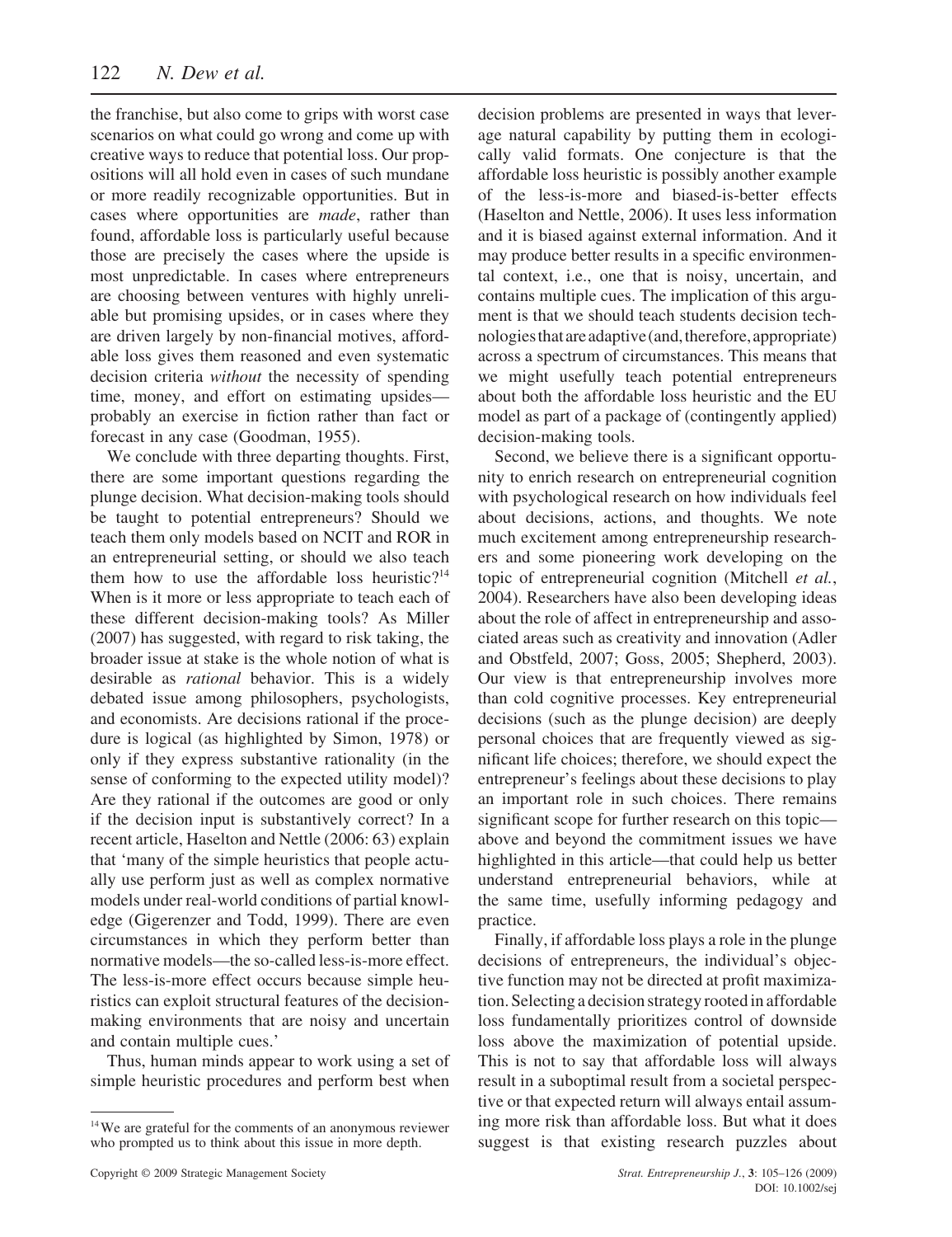the franchise, but also come to grips with worst case scenarios on what could go wrong and come up with creative ways to reduce that potential loss. Our propositions will all hold even in cases of such mundane or more readily recognizable opportunities. But in cases where opportunities are *made*, rather than found, affordable loss is particularly useful because those are precisely the cases where the upside is most unpredictable. In cases where entrepreneurs are choosing between ventures with highly unreliable but promising upsides, or in cases where they are driven largely by non-financial motives, affordable loss gives them reasoned and even systematic decision criteria *without* the necessity of spending time, money, and effort on estimating upsides probably an exercise in fiction rather than fact or forecast in any case (Goodman, 1955).

We conclude with three departing thoughts. First, there are some important questions regarding the plunge decision. What decision-making tools should be taught to potential entrepreneurs? Should we teach them only models based on NCIT and ROR in an entrepreneurial setting, or should we also teach them how to use the affordable loss heuristic?<sup>14</sup> When is it more or less appropriate to teach each of these different decision-making tools? As Miller (2007) has suggested, with regard to risk taking, the broader issue at stake is the whole notion of what is desirable as *rational* behavior. This is a widely debated issue among philosophers, psychologists, and economists. Are decisions rational if the procedure is logical (as highlighted by Simon, 1978) or only if they express substantive rationality (in the sense of conforming to the expected utility model)? Are they rational if the outcomes are good or only if the decision input is substantively correct? In a recent article, Haselton and Nettle (2006: 63) explain that 'many of the simple heuristics that people actually use perform just as well as complex normative models under real-world conditions of partial knowledge (Gigerenzer and Todd, 1999). There are even circumstances in which they perform better than normative models—the so-called less-is-more effect. The less-is-more effect occurs because simple heuristics can exploit structural features of the decisionmaking environments that are noisy and uncertain and contain multiple cues.'

Thus, human minds appear to work using a set of simple heuristic procedures and perform best when

decision problems are presented in ways that leverage natural capability by putting them in ecologically valid formats. One conjecture is that the affordable loss heuristic is possibly another example of the less-is-more and biased-is-better effects (Haselton and Nettle, 2006). It uses less information and it is biased against external information. And it may produce better results in a specific environmental context, i.e., one that is noisy, uncertain, and contains multiple cues. The implication of this argument is that we should teach students decision technologies that are adaptive (and, therefore, appropriate) across a spectrum of circumstances. This means that we might usefully teach potential entrepreneurs about both the affordable loss heuristic and the EU model as part of a package of (contingently applied) decision-making tools.

Second, we believe there is a significant opportunity to enrich research on entrepreneurial cognition with psychological research on how individuals feel about decisions, actions, and thoughts. We note much excitement among entrepreneurship researchers and some pioneering work developing on the topic of entrepreneurial cognition (Mitchell *et al.*, 2004). Researchers have also been developing ideas about the role of affect in entrepreneurship and associated areas such as creativity and innovation (Adler and Obstfeld, 2007; Goss, 2005; Shepherd, 2003). Our view is that entrepreneurship involves more than cold cognitive processes. Key entrepreneurial decisions (such as the plunge decision) are deeply personal choices that are frequently viewed as significant life choices; therefore, we should expect the entrepreneur's feelings about these decisions to play an important role in such choices. There remains significant scope for further research on this topic above and beyond the commitment issues we have highlighted in this article—that could help us better understand entrepreneurial behaviors, while at the same time, usefully informing pedagogy and practice.

Finally, if affordable loss plays a role in the plunge decisions of entrepreneurs, the individual's objective function may not be directed at profit maximization. Selecting a decision strategy rooted in affordable loss fundamentally prioritizes control of downside loss above the maximization of potential upside. This is not to say that affordable loss will always result in a suboptimal result from a societal perspective or that expected return will always entail assuming more risk than affordable loss. But what it does suggest is that existing research puzzles about

<sup>&</sup>lt;sup>14</sup>We are grateful for the comments of an anonymous reviewer who prompted us to think about this issue in more depth.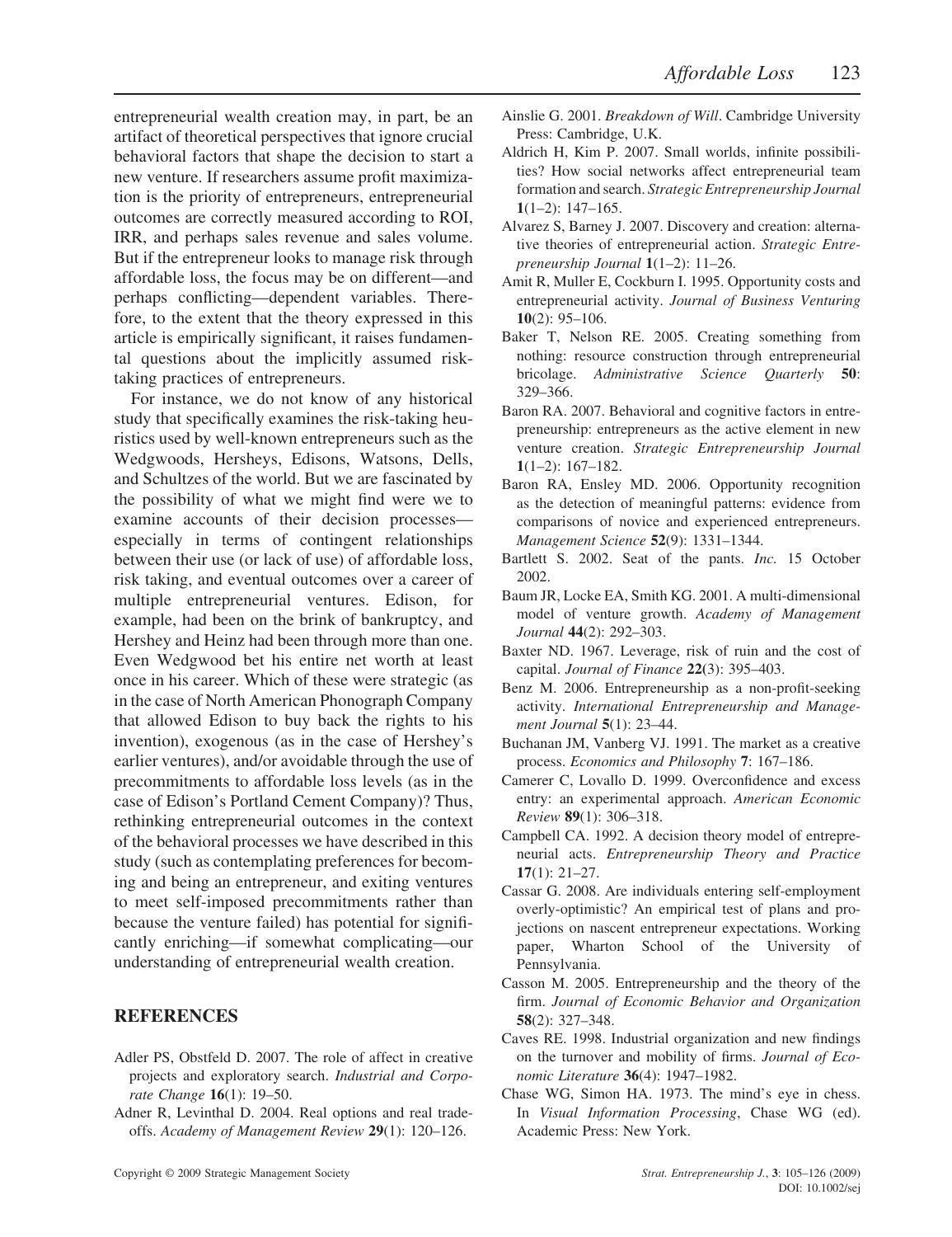entrepreneurial wealth creation may, in part, be an artifact of theoretical perspectives that ignore crucial behavioral factors that shape the decision to start a new venture. If researchers assume profit maximization is the priority of entrepreneurs, entrepreneurial outcomes are correctly measured according to ROI, IRR, and perhaps sales revenue and sales volume. But if the entrepreneur looks to manage risk through affordable loss, the focus may be on different—and perhaps conflicting—dependent variables. Therefore, to the extent that the theory expressed in this article is empirically significant, it raises fundamental questions about the implicitly assumed risktaking practices of entrepreneurs.

For instance, we do not know of any historical study that specifically examines the risk-taking heuristics used by well-known entrepreneurs such as the Wedgwoods, Hersheys, Edisons, Watsons, Dells, and Schultzes of the world. But we are fascinated by the possibility of what we might find were we to examine accounts of their decision processes especially in terms of contingent relationships between their use (or lack of use) of affordable loss, risk taking, and eventual outcomes over a career of multiple entrepreneurial ventures. Edison, for example, had been on the brink of bankruptcy, and Hershey and Heinz had been through more than one. Even Wedgwood bet his entire net worth at least once in his career. Which of these were strategic (as in the case of North American Phonograph Company that allowed Edison to buy back the rights to his invention), exogenous (as in the case of Hershey's earlier ventures), and/or avoidable through the use of precommitments to affordable loss levels (as in the case of Edison's Portland Cement Company)? Thus, rethinking entrepreneurial outcomes in the context of the behavioral processes we have described in this study (such as contemplating preferences for becoming and being an entrepreneur, and exiting ventures to meet self-imposed precommitments rather than because the venture failed) has potential for significantly enriching—if somewhat complicating—our understanding of entrepreneurial wealth creation.

### **REFERENCES**

- Adler PS, Obstfeld D. 2007. The role of affect in creative projects and exploratory search. *Industrial and Corporate Change* **16**(1): 19–50.
- Adner R, Levinthal D. 2004. Real options and real tradeoffs. *Academy of Management Review* **29**(1): 120–126.

entrepreneurial activity. *Journal of Business Venturing* **10**(2): 95–106.

*preneurship Journal* **1**(1–2): 11–26.

**1**(1–2): 147–165.

Press: Cambridge, U.K.

Baker T, Nelson RE. 2005. Creating something from nothing: resource construction through entrepreneurial bricolage. *Administrative Science Quarterly* **50**: 329–366.

Ainslie G. 2001. *Breakdown of Will*. Cambridge University

Aldrich H, Kim P. 2007. Small worlds, infinite possibilities? How social networks affect entrepreneurial team formation and search. *Strategic Entrepreneurship Journal* 

Alvarez S, Barney J. 2007. Discovery and creation: alternative theories of entrepreneurial action. *Strategic Entre-*

Amit R, Muller E, Cockburn I. 1995. Opportunity costs and

- Baron RA. 2007. Behavioral and cognitive factors in entrepreneurship: entrepreneurs as the active element in new venture creation. *Strategic Entrepreneurship Journal*  **1**(1–2): 167–182.
- Baron RA, Ensley MD. 2006. Opportunity recognition as the detection of meaningful patterns: evidence from comparisons of novice and experienced entrepreneurs. *Management Science* **52**(9): 1331–1344.
- Bartlett S. 2002. Seat of the pants. *Inc.* 15 October 2002.
- Baum JR, Locke EA, Smith KG. 2001. A multi-dimensional model of venture growth. *Academy of Management Journal* **44**(2): 292–303.
- Baxter ND. 1967. Leverage, risk of ruin and the cost of capital. *Journal of Finance* **22(**3): 395–403.
- Benz M. 2006. Entrepreneurship as a non-profit-seeking activity. *International Entrepreneurship and Management Journal* **5**(1): 23–44.
- Buchanan JM, Vanberg VJ. 1991. The market as a creative process. *Economics and Philosophy* **7**: 167–186.
- Camerer C, Lovallo D. 1999. Overconfidence and excess entry: an experimental approach. *American Economic Review* **89**(1): 306–318.
- Campbell CA. 1992. A decision theory model of entrepreneurial acts. *Entrepreneurship Theory and Practice* **17**(1): 21–27.
- Cassar G. 2008. Are individuals entering self-employment overly-optimistic? An empirical test of plans and projections on nascent entrepreneur expectations. Working paper, Wharton School of the University of Pennsylvania.
- Casson M. 2005. Entrepreneurship and the theory of the firm. *Journal of Economic Behavior and Organization* **58**(2): 327–348.
- Caves RE. 1998. Industrial organization and new findings on the turnover and mobility of firms. *Journal of Economic Literature* **36**(4): 1947–1982.
- Chase WG, Simon HA. 1973. The mind's eye in chess. In *Visual Information Processing*, Chase WG (ed). Academic Press: New York.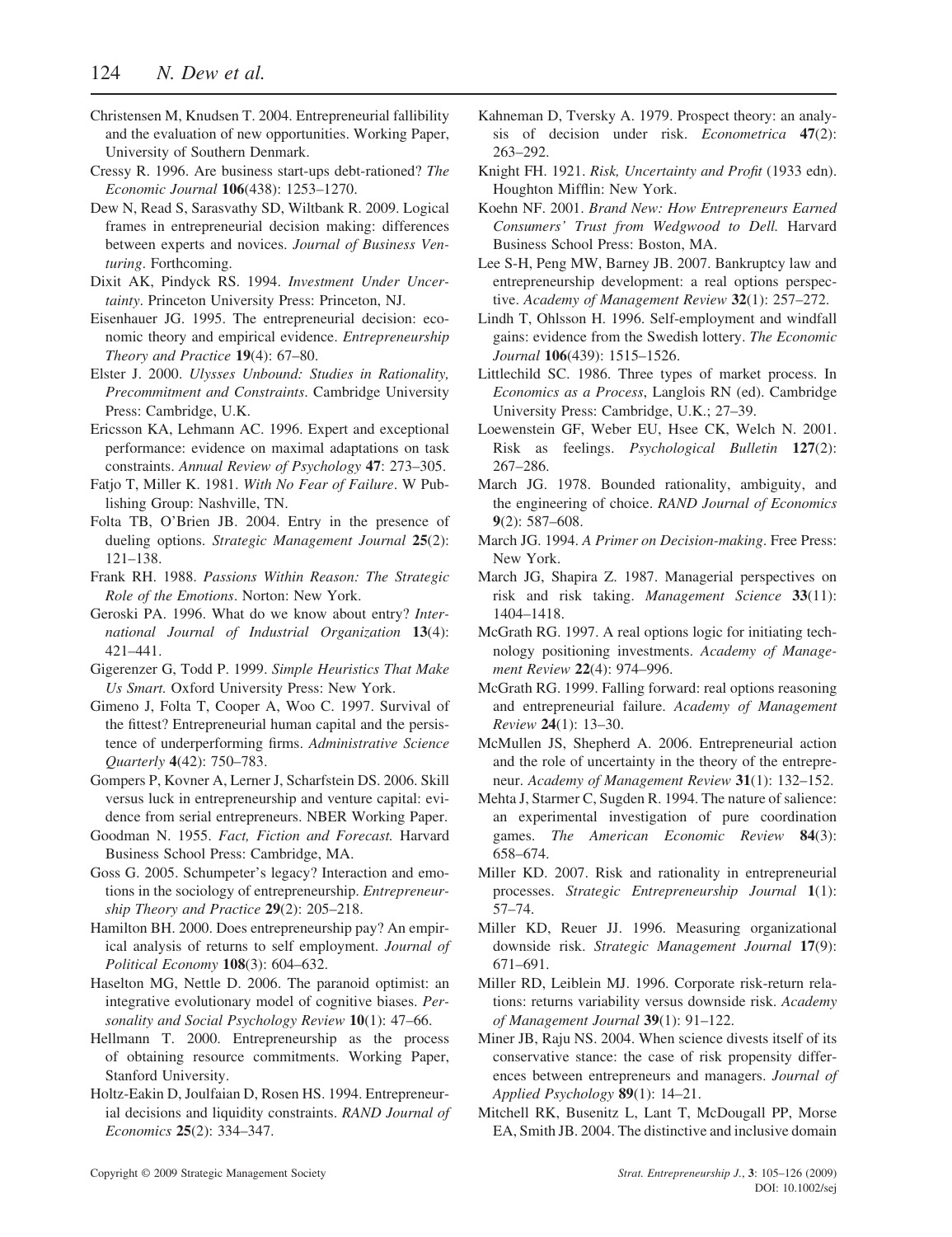- Christensen M, Knudsen T. 2004. Entrepreneurial fallibility and the evaluation of new opportunities. Working Paper, University of Southern Denmark.
- Cressy R. 1996. Are business start-ups debt-rationed? *The Economic Journal* **106**(438): 1253–1270.
- Dew N, Read S, Sarasvathy SD, Wiltbank R. 2009. Logical frames in entrepreneurial decision making: differences between experts and novices. *Journal of Business Venturing*. Forthcoming.
- Dixit AK, Pindyck RS. 1994. *Investment Under Uncertainty*. Princeton University Press: Princeton, NJ.
- Eisenhauer JG. 1995. The entrepreneurial decision: economic theory and empirical evidence. *Entrepreneurship Theory and Practice* **19**(4): 67–80.
- Elster J. 2000. *Ulysses Unbound: Studies in Rationality, Precommitment and Constraints*. Cambridge University Press: Cambridge, U.K.
- Ericsson KA, Lehmann AC. 1996. Expert and exceptional performance: evidence on maximal adaptations on task constraints. *Annual Review of Psychology* **47**: 273–305.
- Fatjo T, Miller K. 1981. *With No Fear of Failure*. W Publishing Group: Nashville, TN.
- Folta TB, O'Brien JB. 2004. Entry in the presence of dueling options. *Strategic Management Journal* **25**(2): 121–138.
- Frank RH. 1988. *Passions Within Reason: The Strategic Role of the Emotions*. Norton: New York.
- Geroski PA. 1996. What do we know about entry? *International Journal of Industrial Organization* **13**(4): 421–441.
- Gigerenzer G, Todd P. 1999. *Simple Heuristics That Make Us Smart.* Oxford University Press: New York.
- Gimeno J, Folta T, Cooper A, Woo C. 1997. Survival of the fittest? Entrepreneurial human capital and the persistence of underperforming firms. *Administrative Science Quarterly* **4**(42): 750–783.
- Gompers P, Kovner A, Lerner J, Scharfstein DS. 2006. Skill versus luck in entrepreneurship and venture capital: evidence from serial entrepreneurs. NBER Working Paper.
- Goodman N. 1955. *Fact, Fiction and Forecast.* Harvard Business School Press: Cambridge, MA.
- Goss G. 2005. Schumpeter's legacy? Interaction and emotions in the sociology of entrepreneurship. *Entrepreneurship Theory and Practice* **29**(2): 205–218.
- Hamilton BH. 2000. Does entrepreneurship pay? An empirical analysis of returns to self employment. *Journal of Political Economy* **108**(3): 604–632.
- Haselton MG, Nettle D. 2006. The paranoid optimist: an integrative evolutionary model of cognitive biases. *Personality and Social Psychology Review* **10**(1): 47–66.
- Hellmann T. 2000. Entrepreneurship as the process of obtaining resource commitments. Working Paper, Stanford University.
- Holtz-Eakin D, Joulfaian D, Rosen HS. 1994. Entrepreneurial decisions and liquidity constraints. *RAND Journal of Economics* **25**(2): 334–347.
- Kahneman D, Tversky A. 1979. Prospect theory: an analysis of decision under risk. *Econometrica* **47**(2): 263–292.
- Knight FH. 1921. *Risk, Uncertainty and Profit* (1933 edn). Houghton Mifflin: New York.
- Koehn NF. 2001. *Brand New: How Entrepreneurs Earned Consumers' Trust from Wedgwood to Dell.* Harvard Business School Press: Boston, MA.
- Lee S-H, Peng MW, Barney JB. 2007. Bankruptcy law and entrepreneurship development: a real options perspective. *Academy of Management Review* **32**(1): 257–272.
- Lindh T, Ohlsson H. 1996. Self-employment and windfall gains: evidence from the Swedish lottery. *The Economic Journal* **106**(439): 1515–1526.
- Littlechild SC. 1986. Three types of market process. In *Economics as a Process*, Langlois RN (ed). Cambridge University Press: Cambridge, U.K.; 27–39.
- Loewenstein GF, Weber EU, Hsee CK, Welch N. 2001. Risk as feelings. *Psychological Bulletin* **127**(2): 267–286.
- March JG. 1978. Bounded rationality, ambiguity, and the engineering of choice. *RAND Journal of Economics* **9**(2): 587–608.
- March JG. 1994. *A Primer on Decision-making*. Free Press: New York.
- March JG, Shapira Z. 1987. Managerial perspectives on risk and risk taking. *Management Science* **33**(11): 1404–1418.
- McGrath RG. 1997. A real options logic for initiating technology positioning investments. *Academy of Management Review* **22**(4): 974–996.
- McGrath RG. 1999. Falling forward: real options reasoning and entrepreneurial failure. *Academy of Management Review* **24**(1): 13–30.
- McMullen JS, Shepherd A. 2006. Entrepreneurial action and the role of uncertainty in the theory of the entrepreneur. *Academy of Management Review* **31**(1): 132–152.
- Mehta J, Starmer C, Sugden R. 1994. The nature of salience: an experimental investigation of pure coordination games. *The American Economic Review* **84**(3): 658–674.
- Miller KD. 2007. Risk and rationality in entrepreneurial processes. *Strategic Entrepreneurship Journal* **1**(1): 57–74.
- Miller KD, Reuer JJ. 1996. Measuring organizational downside risk. *Strategic Management Journal* **17**(9): 671–691.
- Miller RD, Leiblein MJ. 1996. Corporate risk-return relations: returns variability versus downside risk. *Academy of Management Journal* **39**(1): 91–122.
- Miner JB, Raju NS. 2004. When science divests itself of its conservative stance: the case of risk propensity differences between entrepreneurs and managers. *Journal of Applied Psychology* **89**(1): 14–21.
- Mitchell RK, Busenitz L, Lant T, McDougall PP, Morse EA, Smith JB. 2004. The distinctive and inclusive domain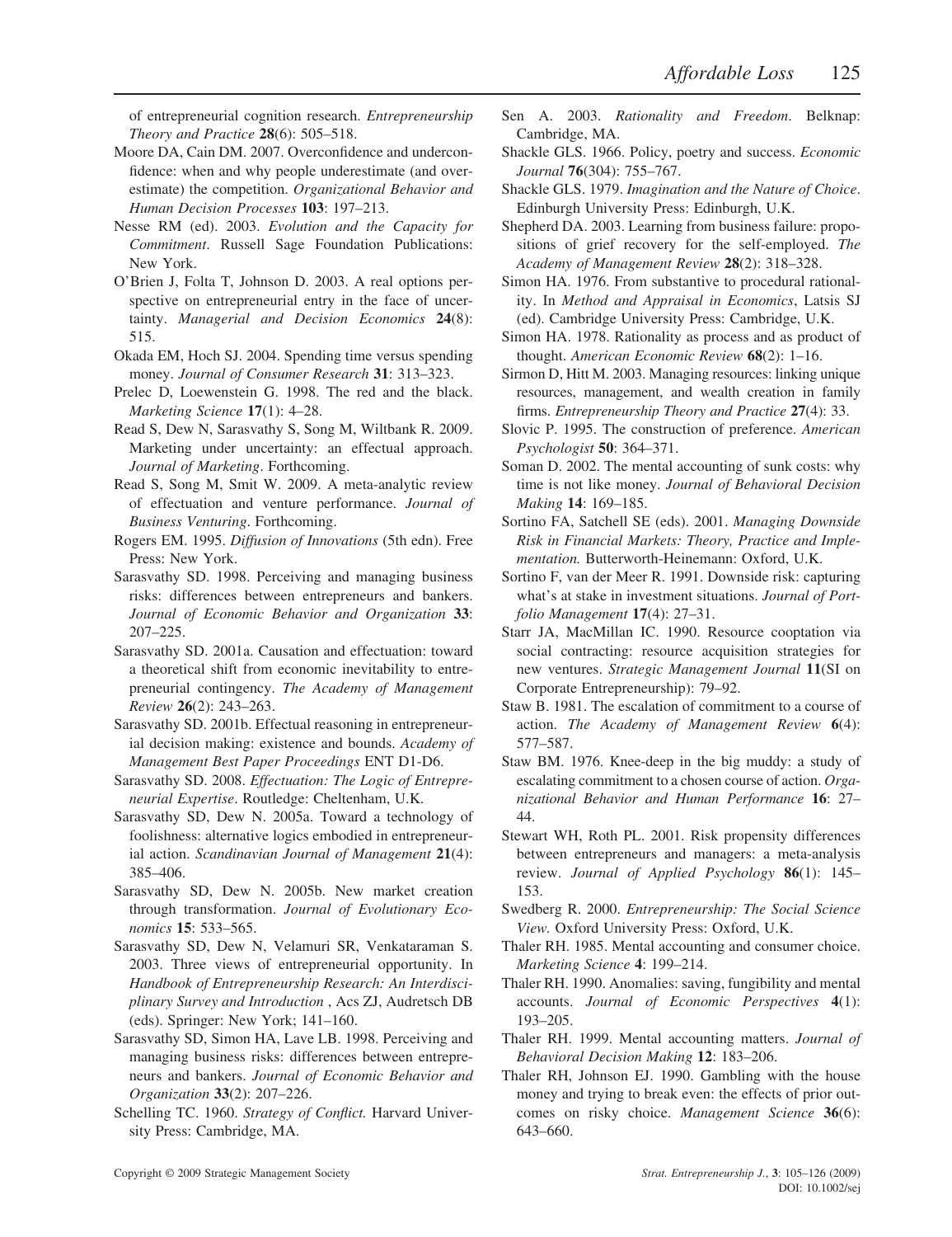of entrepreneurial cognition research. *Entrepreneurship Theory and Practice* **28**(6): 505–518.

- Moore DA, Cain DM. 2007. Overconfidence and underconfidence: when and why people underestimate (and overestimate) the competition. *Organizational Behavior and Human Decision Processes* **103**: 197–213.
- Nesse RM (ed). 2003. *Evolution and the Capacity for Commitment*. Russell Sage Foundation Publications: New York.
- O'Brien J, Folta T, Johnson D. 2003. A real options perspective on entrepreneurial entry in the face of uncertainty. *Managerial and Decision Economics* **24**(8): 515.
- Okada EM, Hoch SJ. 2004. Spending time versus spending money. *Journal of Consumer Research* **31**: 313–323.
- Prelec D, Loewenstein G. 1998. The red and the black. *Marketing Science* **17**(1): 4–28.
- Read S, Dew N, Sarasvathy S, Song M, Wiltbank R. 2009. Marketing under uncertainty: an effectual approach. *Journal of Marketing*. Forthcoming.
- Read S, Song M, Smit W. 2009. A meta-analytic review of effectuation and venture performance. *Journal of Business Venturing*. Forthcoming.
- Rogers EM. 1995. *Diffusion of Innovations* (5th edn). Free Press: New York.
- Sarasvathy SD. 1998. Perceiving and managing business risks: differences between entrepreneurs and bankers. *Journal of Economic Behavior and Organization* **33**: 207–225.
- Sarasvathy SD. 2001a. Causation and effectuation: toward a theoretical shift from economic inevitability to entrepreneurial contingency. *The Academy of Management Review* **26**(2): 243–263.
- Sarasvathy SD. 2001b. Effectual reasoning in entrepreneurial decision making: existence and bounds. *Academy of Management Best Paper Proceedings* ENT D1-D6.
- Sarasvathy SD. 2008. *Effectuation: The Logic of Entrepreneurial Expertise*. Routledge: Cheltenham, U.K.
- Sarasvathy SD, Dew N. 2005a. Toward a technology of foolishness: alternative logics embodied in entrepreneurial action. *Scandinavian Journal of Management* **21**(4): 385–406.
- Sarasvathy SD, Dew N. 2005b. New market creation through transformation. *Journal of Evolutionary Economics* **15**: 533–565.
- Sarasvathy SD, Dew N, Velamuri SR, Venkataraman S. 2003. Three views of entrepreneurial opportunity. In *Handbook of Entrepreneurship Research: An Interdisciplinary Survey and Introduction* , Acs ZJ, Audretsch DB (eds). Springer: New York; 141–160.
- Sarasvathy SD, Simon HA, Lave LB. 1998. Perceiving and managing business risks: differences between entrepreneurs and bankers. *Journal of Economic Behavior and Organization* **33**(2): 207–226.
- Schelling TC. 1960. *Strategy of Conflict*. Harvard University Press: Cambridge, MA.
- Sen A. 2003. *Rationality and Freedom*. Belknap: Cambridge, MA.
- Shackle GLS. 1966. Policy, poetry and success. *Economic Journal* **76**(304): 755–767.
- Shackle GLS. 1979. *Imagination and the Nature of Choice*. Edinburgh University Press: Edinburgh, U.K.
- Shepherd DA. 2003. Learning from business failure: propositions of grief recovery for the self-employed. *The Academy of Management Review* **28**(2): 318–328.
- Simon HA. 1976. From substantive to procedural rationality. In *Method and Appraisal in Economics*, Latsis SJ (ed). Cambridge University Press: Cambridge, U.K.
- Simon HA. 1978. Rationality as process and as product of thought. *American Economic Review* **68**(2): 1–16.
- Sirmon D, Hitt M. 2003. Managing resources: linking unique resources, management, and wealth creation in family firms. *Entrepreneurship Theory and Practice* **27**(4): 33.
- Slovic P. 1995. The construction of preference. *American Psychologist* **50**: 364–371.
- Soman D. 2002. The mental accounting of sunk costs: why time is not like money. *Journal of Behavioral Decision Making* **14**: 169–185.
- Sortino FA, Satchell SE (eds). 2001. *Managing Downside Risk in Financial Markets: Theory, Practice and Implementation.* Butterworth-Heinemann: Oxford, U.K.
- Sortino F, van der Meer R. 1991. Downside risk: capturing what's at stake in investment situations. *Journal of Portfolio Management* **17**(4): 27–31.
- Starr JA, MacMillan IC. 1990. Resource cooptation via social contracting: resource acquisition strategies for new ventures. *Strategic Management Journal* **11**(SI on Corporate Entrepreneurship): 79–92.
- Staw B. 1981. The escalation of commitment to a course of action. *The Academy of Management Review* **6**(4): 577–587.
- Staw BM. 1976. Knee-deep in the big muddy: a study of escalating commitment to a chosen course of action. *Organizational Behavior and Human Performance* **16**: 27– 44.
- Stewart WH, Roth PL. 2001. Risk propensity differences between entrepreneurs and managers: a meta-analysis review. *Journal of Applied Psychology* **86**(1): 145– 153.
- Swedberg R. 2000. *Entrepreneurship: The Social Science View.* Oxford University Press: Oxford, U.K.
- Thaler RH. 1985. Mental accounting and consumer choice. *Marketing Science* **4**: 199–214.
- Thaler RH. 1990. Anomalies: saving, fungibility and mental accounts. *Journal of Economic Perspectives* **4**(1): 193–205.
- Thaler RH. 1999. Mental accounting matters. *Journal of Behavioral Decision Making* **12**: 183–206.
- Thaler RH, Johnson EJ. 1990. Gambling with the house money and trying to break even: the effects of prior outcomes on risky choice. *Management Science* **36**(6): 643–660.